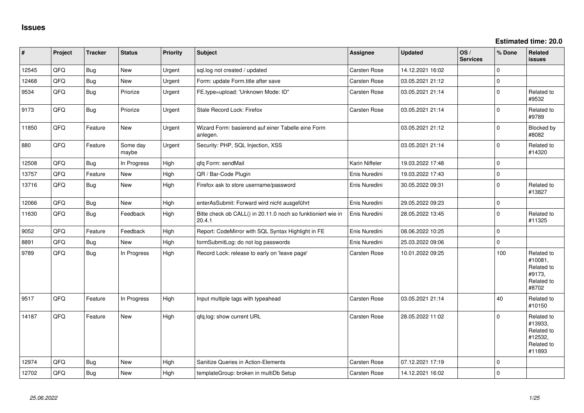**Estimated time: 20.0**

| $\pmb{\#}$ | Project | <b>Tracker</b> | <b>Status</b>     | <b>Priority</b> | <b>Subject</b>                                                         | Assignee       | <b>Updated</b>   | OS/<br><b>Services</b> | % Done      | Related<br><b>issues</b>                                               |
|------------|---------|----------------|-------------------|-----------------|------------------------------------------------------------------------|----------------|------------------|------------------------|-------------|------------------------------------------------------------------------|
| 12545      | QFQ     | <b>Bug</b>     | <b>New</b>        | Urgent          | sql.log not created / updated                                          | Carsten Rose   | 14.12.2021 16:02 |                        | $\Omega$    |                                                                        |
| 12468      | QFQ     | <b>Bug</b>     | <b>New</b>        | Urgent          | Form: update Form.title after save                                     | Carsten Rose   | 03.05.2021 21:12 |                        | $\mathbf 0$ |                                                                        |
| 9534       | QFQ     | Bug            | Priorize          | Urgent          | FE.type=upload: 'Unknown Mode: ID"                                     | Carsten Rose   | 03.05.2021 21:14 |                        | $\mathbf 0$ | Related to<br>#9532                                                    |
| 9173       | QFQ     | Bug            | Priorize          | Urgent          | Stale Record Lock: Firefox                                             | Carsten Rose   | 03.05.2021 21:14 |                        | $\mathbf 0$ | Related to<br>#9789                                                    |
| 11850      | QFQ     | Feature        | <b>New</b>        | Urgent          | Wizard Form: basierend auf einer Tabelle eine Form<br>anlegen.         |                | 03.05.2021 21:12 |                        | $\Omega$    | Blocked by<br>#8082                                                    |
| 880        | QFQ     | Feature        | Some day<br>maybe | Urgent          | Security: PHP, SQL Injection, XSS                                      |                | 03.05.2021 21:14 |                        | $\mathbf 0$ | Related to<br>#14320                                                   |
| 12508      | QFQ     | Bug            | In Progress       | High            | qfq Form: sendMail                                                     | Karin Niffeler | 19.03.2022 17:48 |                        | $\mathbf 0$ |                                                                        |
| 13757      | QFQ     | Feature        | <b>New</b>        | High            | QR / Bar-Code Plugin                                                   | Enis Nuredini  | 19.03.2022 17:43 |                        | $\mathbf 0$ |                                                                        |
| 13716      | QFQ     | <b>Bug</b>     | <b>New</b>        | High            | Firefox ask to store username/password                                 | Enis Nuredini  | 30.05.2022 09:31 |                        | $\Omega$    | Related to<br>#13827                                                   |
| 12066      | QFQ     | <b>Bug</b>     | <b>New</b>        | High            | enterAsSubmit: Forward wird nicht ausgeführt                           | Enis Nuredini  | 29.05.2022 09:23 |                        | $\mathbf 0$ |                                                                        |
| 11630      | QFQ     | <b>Bug</b>     | Feedback          | High            | Bitte check ob CALL() in 20.11.0 noch so funktioniert wie in<br>20.4.1 | Enis Nuredini  | 28.05.2022 13:45 |                        | $\mathbf 0$ | Related to<br>#11325                                                   |
| 9052       | QFQ     | Feature        | Feedback          | High            | Report: CodeMirror with SQL Syntax Highlight in FE                     | Enis Nuredini  | 08.06.2022 10:25 |                        | $\mathbf 0$ |                                                                        |
| 8891       | QFQ     | Bug            | <b>New</b>        | High            | formSubmitLog: do not log passwords                                    | Enis Nuredini  | 25.03.2022 09:06 |                        | $\Omega$    |                                                                        |
| 9789       | QFQ     | <b>Bug</b>     | In Progress       | High            | Record Lock: release to early on 'leave page'                          | Carsten Rose   | 10.01.2022 09:25 |                        | 100         | Related to<br>#10081,<br>Related to<br>#9173,<br>Related to<br>#8702   |
| 9517       | QFQ     | Feature        | In Progress       | High            | Input multiple tags with typeahead                                     | Carsten Rose   | 03.05.2021 21:14 |                        | 40          | Related to<br>#10150                                                   |
| 14187      | QFQ     | Feature        | <b>New</b>        | High            | qfq.log: show current URL                                              | Carsten Rose   | 28.05.2022 11:02 |                        | $\Omega$    | Related to<br>#13933,<br>Related to<br>#12532,<br>Related to<br>#11893 |
| 12974      | QFQ     | <b>Bug</b>     | <b>New</b>        | High            | Sanitize Queries in Action-Elements                                    | Carsten Rose   | 07.12.2021 17:19 |                        | $\Omega$    |                                                                        |
| 12702      | QFQ     | <b>Bug</b>     | <b>New</b>        | High            | templateGroup: broken in multiDb Setup                                 | Carsten Rose   | 14.12.2021 16:02 |                        | $\mathbf 0$ |                                                                        |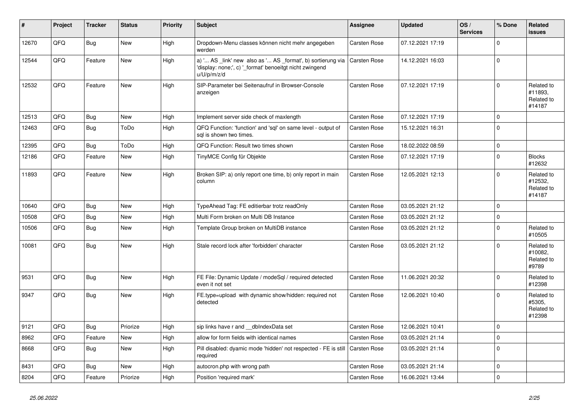| #     | Project | <b>Tracker</b> | <b>Status</b> | <b>Priority</b> | <b>Subject</b>                                                                                                                        | <b>Assignee</b>     | <b>Updated</b>   | OS/<br><b>Services</b> | % Done      | Related<br><b>issues</b>                      |
|-------|---------|----------------|---------------|-----------------|---------------------------------------------------------------------------------------------------------------------------------------|---------------------|------------------|------------------------|-------------|-----------------------------------------------|
| 12670 | QFQ     | <b>Bug</b>     | <b>New</b>    | High            | Dropdown-Menu classes können nicht mehr angegeben<br>werden                                                                           | Carsten Rose        | 07.12.2021 17:19 |                        | $\Omega$    |                                               |
| 12544 | QFQ     | Feature        | New           | High            | a) ' AS _link' new also as ' AS _format', b) sortierung via<br>'display: none;', c) '_format' benoeitgt nicht zwingend<br>u/U/p/m/z/d | Carsten Rose        | 14.12.2021 16:03 |                        | 0           |                                               |
| 12532 | QFQ     | Feature        | <b>New</b>    | High            | SIP-Parameter bei Seitenaufruf in Browser-Console<br>anzeigen                                                                         | <b>Carsten Rose</b> | 07.12.2021 17:19 |                        | $\Omega$    | Related to<br>#11893,<br>Related to<br>#14187 |
| 12513 | QFQ     | <b>Bug</b>     | <b>New</b>    | High            | Implement server side check of maxlength                                                                                              | Carsten Rose        | 07.12.2021 17:19 |                        | $\Omega$    |                                               |
| 12463 | QFQ     | <b>Bug</b>     | ToDo          | High            | QFQ Function: 'function' and 'sql' on same level - output of<br>sql is shown two times.                                               | Carsten Rose        | 15.12.2021 16:31 |                        | $\Omega$    |                                               |
| 12395 | QFQ     | Bug            | ToDo          | High            | QFQ Function: Result two times shown                                                                                                  | Carsten Rose        | 18.02.2022 08:59 |                        | $\mathbf 0$ |                                               |
| 12186 | QFQ     | Feature        | <b>New</b>    | High            | TinyMCE Config für Objekte                                                                                                            | Carsten Rose        | 07.12.2021 17:19 |                        | $\Omega$    | <b>Blocks</b><br>#12632                       |
| 11893 | QFQ     | Feature        | New           | High            | Broken SIP: a) only report one time, b) only report in main<br>column                                                                 | Carsten Rose        | 12.05.2021 12:13 |                        | $\Omega$    | Related to<br>#12532,<br>Related to<br>#14187 |
| 10640 | QFQ     | Bug            | <b>New</b>    | High            | TypeAhead Tag: FE editierbar trotz readOnly                                                                                           | Carsten Rose        | 03.05.2021 21:12 |                        | $\mathbf 0$ |                                               |
| 10508 | QFQ     | Bug            | <b>New</b>    | High            | Multi Form broken on Multi DB Instance                                                                                                | <b>Carsten Rose</b> | 03.05.2021 21:12 |                        | $\Omega$    |                                               |
| 10506 | QFQ     | Bug            | New           | High            | Template Group broken on MultiDB instance                                                                                             | Carsten Rose        | 03.05.2021 21:12 |                        | $\Omega$    | Related to<br>#10505                          |
| 10081 | QFQ     | <b>Bug</b>     | New           | High            | Stale record lock after 'forbidden' character                                                                                         | Carsten Rose        | 03.05.2021 21:12 |                        | $\Omega$    | Related to<br>#10082,<br>Related to<br>#9789  |
| 9531  | QFQ     | <b>Bug</b>     | <b>New</b>    | High            | FE File: Dynamic Update / modeSql / required detected<br>even it not set                                                              | Carsten Rose        | 11.06.2021 20:32 |                        | $\Omega$    | Related to<br>#12398                          |
| 9347  | QFQ     | <b>Bug</b>     | New           | High            | FE.type=upload with dynamic show/hidden: required not<br>detected                                                                     | <b>Carsten Rose</b> | 12.06.2021 10:40 |                        | $\Omega$    | Related to<br>#5305,<br>Related to<br>#12398  |
| 9121  | QFQ     | <b>Bug</b>     | Priorize      | High            | sip links have r and dblndexData set                                                                                                  | Carsten Rose        | 12.06.2021 10:41 |                        | $\Omega$    |                                               |
| 8962  | QFQ     | Feature        | <b>New</b>    | High            | allow for form fields with identical names                                                                                            | <b>Carsten Rose</b> | 03.05.2021 21:14 |                        | $\mathbf 0$ |                                               |
| 8668  | QFQ     | Bug            | <b>New</b>    | High            | Pill disabled: dyamic mode 'hidden' not respected - FE is still<br>required                                                           | <b>Carsten Rose</b> | 03.05.2021 21:14 |                        | $\Omega$    |                                               |
| 8431  | QFQ     | Bug            | <b>New</b>    | High            | autocron.php with wrong path                                                                                                          | Carsten Rose        | 03.05.2021 21:14 |                        | $\mathbf 0$ |                                               |
| 8204  | QFQ     | Feature        | Priorize      | High            | Position 'required mark'                                                                                                              | Carsten Rose        | 16.06.2021 13:44 |                        | $\Omega$    |                                               |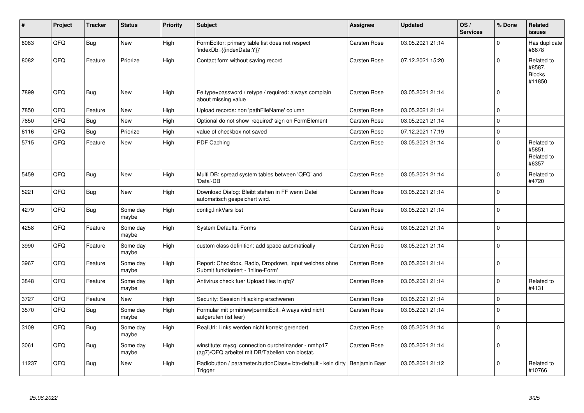| #     | Project | <b>Tracker</b> | <b>Status</b>     | <b>Priority</b> | <b>Subject</b>                                                                                         | <b>Assignee</b>     | <b>Updated</b>   | OS/<br><b>Services</b> | % Done   | Related<br><b>issues</b>                        |
|-------|---------|----------------|-------------------|-----------------|--------------------------------------------------------------------------------------------------------|---------------------|------------------|------------------------|----------|-------------------------------------------------|
| 8083  | QFQ     | <b>Bug</b>     | <b>New</b>        | High            | FormEditor: primary table list does not respect<br>'indexDb={{indexData:Y}}'                           | <b>Carsten Rose</b> | 03.05.2021 21:14 |                        | $\Omega$ | Has duplicate<br>#6678                          |
| 8082  | QFQ     | Feature        | Priorize          | High            | Contact form without saving record                                                                     | Carsten Rose        | 07.12.2021 15:20 |                        | $\Omega$ | Related to<br>#8587,<br><b>Blocks</b><br>#11850 |
| 7899  | QFQ     | Bug            | New               | High            | Fe.type=password / retype / required: always complain<br>about missing value                           | Carsten Rose        | 03.05.2021 21:14 |                        | $\Omega$ |                                                 |
| 7850  | QFQ     | Feature        | New               | High            | Upload records: non 'pathFileName' column                                                              | Carsten Rose        | 03.05.2021 21:14 |                        | $\Omega$ |                                                 |
| 7650  | QFQ     | Bug            | New               | High            | Optional do not show 'required' sign on FormElement                                                    | Carsten Rose        | 03.05.2021 21:14 |                        | $\Omega$ |                                                 |
| 6116  | QFQ     | <b>Bug</b>     | Priorize          | High            | value of checkbox not saved                                                                            | Carsten Rose        | 07.12.2021 17:19 |                        | 0        |                                                 |
| 5715  | QFQ     | Feature        | New               | High            | PDF Caching                                                                                            | Carsten Rose        | 03.05.2021 21:14 |                        | $\Omega$ | Related to<br>#5851,<br>Related to<br>#6357     |
| 5459  | QFQ     | Bug            | <b>New</b>        | High            | Multi DB: spread system tables between 'QFQ' and<br>'Data'-DB                                          | Carsten Rose        | 03.05.2021 21:14 |                        | $\Omega$ | Related to<br>#4720                             |
| 5221  | QFQ     | <b>Bug</b>     | <b>New</b>        | High            | Download Dialog: Bleibt stehen in FF wenn Datei<br>automatisch gespeichert wird.                       | Carsten Rose        | 03.05.2021 21:14 |                        | $\Omega$ |                                                 |
| 4279  | QFQ     | <b>Bug</b>     | Some day<br>maybe | High            | config.linkVars lost                                                                                   | Carsten Rose        | 03.05.2021 21:14 |                        | $\Omega$ |                                                 |
| 4258  | QFQ     | Feature        | Some day<br>maybe | High            | <b>System Defaults: Forms</b>                                                                          | Carsten Rose        | 03.05.2021 21:14 |                        | $\Omega$ |                                                 |
| 3990  | QFQ     | Feature        | Some day<br>maybe | High            | custom class definition: add space automatically                                                       | Carsten Rose        | 03.05.2021 21:14 |                        | $\Omega$ |                                                 |
| 3967  | QFQ     | Feature        | Some day<br>maybe | High            | Report: Checkbox, Radio, Dropdown, Input welches ohne<br>Submit funktioniert - 'Inline-Form'           | Carsten Rose        | 03.05.2021 21:14 |                        | $\Omega$ |                                                 |
| 3848  | QFQ     | Feature        | Some day<br>maybe | High            | Antivirus check fuer Upload files in gfg?                                                              | Carsten Rose        | 03.05.2021 21:14 |                        | $\Omega$ | Related to<br>#4131                             |
| 3727  | QFQ     | Feature        | <b>New</b>        | High            | Security: Session Hijacking erschweren                                                                 | Carsten Rose        | 03.05.2021 21:14 |                        | 0        |                                                 |
| 3570  | QFQ     | <b>Bug</b>     | Some day<br>maybe | High            | Formular mit prmitnew permitEdit=Always wird nicht<br>aufgerufen (ist leer)                            | Carsten Rose        | 03.05.2021 21:14 |                        | $\Omega$ |                                                 |
| 3109  | QFQ     | <b>Bug</b>     | Some day<br>maybe | High            | RealUrl: Links werden nicht korrekt gerendert                                                          | Carsten Rose        | 03.05.2021 21:14 |                        | $\Omega$ |                                                 |
| 3061  | QFQ     | Bug            | Some dav<br>maybe | High            | winstitute: mysql connection durcheinander - nmhp17<br>(ag7)/QFQ arbeitet mit DB/Tabellen von biostat. | Carsten Rose        | 03.05.2021 21:14 |                        | $\Omega$ |                                                 |
| 11237 | QFQ     | <b>Bug</b>     | New               | High            | Radiobutton / parameter.buttonClass= btn-default - kein dirty<br>Trigger                               | Benjamin Baer       | 03.05.2021 21:12 |                        | $\Omega$ | Related to<br>#10766                            |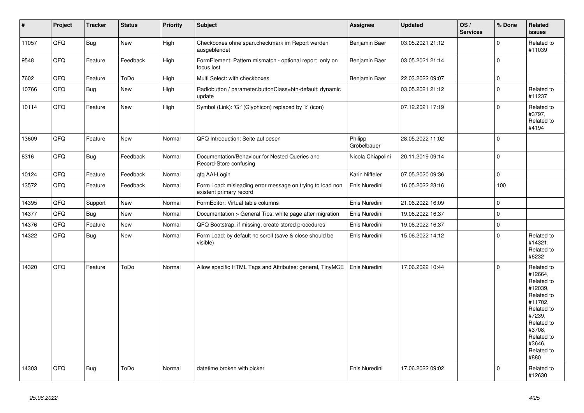| $\vert$ # | Project | <b>Tracker</b> | <b>Status</b> | <b>Priority</b> | <b>Subject</b>                                                                       | Assignee               | <b>Updated</b>   | OS/<br><b>Services</b> | % Done      | Related<br>issues                                                                                                                                                     |
|-----------|---------|----------------|---------------|-----------------|--------------------------------------------------------------------------------------|------------------------|------------------|------------------------|-------------|-----------------------------------------------------------------------------------------------------------------------------------------------------------------------|
| 11057     | QFQ     | Bug            | New           | High            | Checkboxes ohne span.checkmark im Report werden<br>ausgeblendet                      | Benjamin Baer          | 03.05.2021 21:12 |                        | $\Omega$    | Related to<br>#11039                                                                                                                                                  |
| 9548      | QFQ     | Feature        | Feedback      | High            | FormElement: Pattern mismatch - optional report only on<br>focus lost                | Benjamin Baer          | 03.05.2021 21:14 |                        | $\mathbf 0$ |                                                                                                                                                                       |
| 7602      | QFQ     | Feature        | ToDo          | High            | Multi Select: with checkboxes                                                        | Benjamin Baer          | 22.03.2022 09:07 |                        | $\mathbf 0$ |                                                                                                                                                                       |
| 10766     | QFQ     | <b>Bug</b>     | <b>New</b>    | High            | Radiobutton / parameter.buttonClass=btn-default: dynamic<br>update                   |                        | 03.05.2021 21:12 |                        | $\mathbf 0$ | Related to<br>#11237                                                                                                                                                  |
| 10114     | QFQ     | Feature        | New           | High            | Symbol (Link): 'G:' (Glyphicon) replaced by 'i:' (icon)                              |                        | 07.12.2021 17:19 |                        | $\pmb{0}$   | Related to<br>#3797,<br>Related to<br>#4194                                                                                                                           |
| 13609     | QFQ     | Feature        | <b>New</b>    | Normal          | QFQ Introduction: Seite aufloesen                                                    | Philipp<br>Gröbelbauer | 28.05.2022 11:02 |                        | $\mathbf 0$ |                                                                                                                                                                       |
| 8316      | QFQ     | Bug            | Feedback      | Normal          | Documentation/Behaviour for Nested Queries and<br>Record-Store confusing             | Nicola Chiapolini      | 20.11.2019 09:14 |                        | $\pmb{0}$   |                                                                                                                                                                       |
| 10124     | QFQ     | Feature        | Feedback      | Normal          | qfq AAI-Login                                                                        | Karin Niffeler         | 07.05.2020 09:36 |                        | $\pmb{0}$   |                                                                                                                                                                       |
| 13572     | QFQ     | Feature        | Feedback      | Normal          | Form Load: misleading error message on trying to load non<br>existent primary record | Enis Nuredini          | 16.05.2022 23:16 |                        | 100         |                                                                                                                                                                       |
| 14395     | QFQ     | Support        | New           | Normal          | FormEditor: Virtual table columns                                                    | Enis Nuredini          | 21.06.2022 16:09 |                        | $\mathbf 0$ |                                                                                                                                                                       |
| 14377     | QFQ     | Bug            | New           | Normal          | Documentation > General Tips: white page after migration                             | Enis Nuredini          | 19.06.2022 16:37 |                        | $\pmb{0}$   |                                                                                                                                                                       |
| 14376     | QFQ     | Feature        | New           | Normal          | QFQ Bootstrap: if missing, create stored procedures                                  | Enis Nuredini          | 19.06.2022 16:37 |                        | $\pmb{0}$   |                                                                                                                                                                       |
| 14322     | QFQ     | Bug            | New           | Normal          | Form Load: by default no scroll (save & close should be<br>visible)                  | Enis Nuredini          | 15.06.2022 14:12 |                        | $\mathbf 0$ | Related to<br>#14321,<br>Related to<br>#6232                                                                                                                          |
| 14320     | QFQ     | Feature        | ToDo          | Normal          | Allow specific HTML Tags and Attributes: general, TinyMCE                            | Enis Nuredini          | 17.06.2022 10:44 |                        | $\mathbf 0$ | Related to<br>#12664,<br>Related to<br>#12039.<br>Related to<br>#11702,<br>Related to<br>#7239,<br>Related to<br>#3708,<br>Related to<br>#3646.<br>Related to<br>#880 |
| 14303     | QFQ     | <b>Bug</b>     | ToDo          | Normal          | datetime broken with picker                                                          | Enis Nuredini          | 17.06.2022 09:02 |                        | $\Omega$    | Related to<br>#12630                                                                                                                                                  |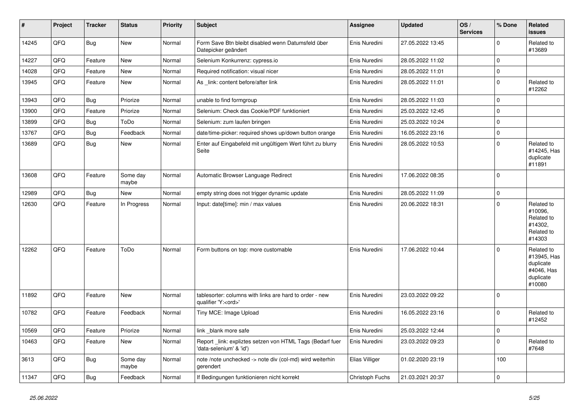| $\vert$ # | Project | <b>Tracker</b> | <b>Status</b>     | <b>Priority</b> | <b>Subject</b>                                                                        | <b>Assignee</b> | <b>Updated</b>   | OS/<br><b>Services</b> | % Done      | Related<br><b>issues</b>                                                    |
|-----------|---------|----------------|-------------------|-----------------|---------------------------------------------------------------------------------------|-----------------|------------------|------------------------|-------------|-----------------------------------------------------------------------------|
| 14245     | QFQ     | Bug            | <b>New</b>        | Normal          | Form Save Btn bleibt disabled wenn Datumsfeld über<br>Datepicker geändert             | Enis Nuredini   | 27.05.2022 13:45 |                        | $\Omega$    | Related to<br>#13689                                                        |
| 14227     | QFQ     | Feature        | <b>New</b>        | Normal          | Selenium Konkurrenz: cypress.io                                                       | Enis Nuredini   | 28.05.2022 11:02 |                        | $\Omega$    |                                                                             |
| 14028     | QFQ     | Feature        | <b>New</b>        | Normal          | Required notification: visual nicer                                                   | Enis Nuredini   | 28.05.2022 11:01 |                        | $\Omega$    |                                                                             |
| 13945     | QFQ     | Feature        | <b>New</b>        | Normal          | As _link: content before/after link                                                   | Enis Nuredini   | 28.05.2022 11:01 |                        | $\Omega$    | Related to<br>#12262                                                        |
| 13943     | QFQ     | <b>Bug</b>     | Priorize          | Normal          | unable to find formgroup                                                              | Enis Nuredini   | 28.05.2022 11:03 |                        | $\Omega$    |                                                                             |
| 13900     | QFQ     | Feature        | Priorize          | Normal          | Selenium: Check das Cookie/PDF funktioniert                                           | Enis Nuredini   | 25.03.2022 12:45 |                        | $\Omega$    |                                                                             |
| 13899     | QFQ     | <b>Bug</b>     | ToDo              | Normal          | Selenium: zum laufen bringen                                                          | Enis Nuredini   | 25.03.2022 10:24 |                        | $\Omega$    |                                                                             |
| 13767     | QFQ     | Bug            | Feedback          | Normal          | date/time-picker: required shows up/down button orange                                | Enis Nuredini   | 16.05.2022 23:16 |                        | 0           |                                                                             |
| 13689     | QFQ     | Bug            | New               | Normal          | Enter auf Eingabefeld mit ungültigem Wert führt zu blurry<br>Seite                    | Enis Nuredini   | 28.05.2022 10:53 |                        | $\Omega$    | Related to<br>#14245, Has<br>duplicate<br>#11891                            |
| 13608     | QFQ     | Feature        | Some day<br>maybe | Normal          | Automatic Browser Language Redirect                                                   | Enis Nuredini   | 17.06.2022 08:35 |                        | $\Omega$    |                                                                             |
| 12989     | QFQ     | Bug            | <b>New</b>        | Normal          | empty string does not trigger dynamic update                                          | Enis Nuredini   | 28.05.2022 11:09 |                        | $\Omega$    |                                                                             |
| 12630     | QFQ     | Feature        | In Progress       | Normal          | Input: date[time]: min / max values                                                   | Enis Nuredini   | 20.06.2022 18:31 |                        | $\Omega$    | Related to<br>#10096,<br>Related to<br>#14302,<br>Related to<br>#14303      |
| 12262     | QFQ     | Feature        | ToDo              | Normal          | Form buttons on top: more customable                                                  | Enis Nuredini   | 17.06.2022 10:44 |                        | $\Omega$    | Related to<br>#13945, Has<br>duplicate<br>#4046, Has<br>duplicate<br>#10080 |
| 11892     | QFQ     | Feature        | <b>New</b>        | Normal          | tablesorter: columns with links are hard to order - new<br>qualifier 'Y: <ord>'</ord> | Enis Nuredini   | 23.03.2022 09:22 |                        | $\Omega$    |                                                                             |
| 10782     | QFQ     | Feature        | Feedback          | Normal          | Tiny MCE: Image Upload                                                                | Enis Nuredini   | 16.05.2022 23:16 |                        | $\Omega$    | Related to<br>#12452                                                        |
| 10569     | QFQ     | Feature        | Priorize          | Normal          | link _blank more safe                                                                 | Enis Nuredini   | 25.03.2022 12:44 |                        | $\mathbf 0$ |                                                                             |
| 10463     | QFQ     | Feature        | New               | Normal          | Report _link: expliztes setzen von HTML Tags (Bedarf fuer<br>'data-selenium' & 'id')  | Enis Nuredini   | 23.03.2022 09:23 |                        | $\Omega$    | Related to<br>#7648                                                         |
| 3613      | QFQ     | <b>Bug</b>     | Some day<br>maybe | Normal          | note /note unchecked -> note div (col-md) wird weiterhin<br>gerendert                 | Elias Villiger  | 01.02.2020 23:19 |                        | 100         |                                                                             |
| 11347     | QFQ     | Bug            | Feedback          | Normal          | If Bedingungen funktionieren nicht korrekt                                            | Christoph Fuchs | 21.03.2021 20:37 |                        | $\Omega$    |                                                                             |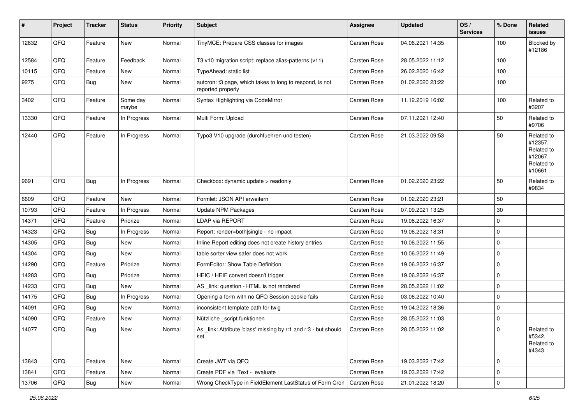| #     | Project | <b>Tracker</b> | <b>Status</b>     | <b>Priority</b> | <b>Subject</b>                                                                | Assignee            | <b>Updated</b>   | OS/<br><b>Services</b> | % Done      | Related<br><b>issues</b>                                               |
|-------|---------|----------------|-------------------|-----------------|-------------------------------------------------------------------------------|---------------------|------------------|------------------------|-------------|------------------------------------------------------------------------|
| 12632 | QFQ     | Feature        | <b>New</b>        | Normal          | TinyMCE: Prepare CSS classes for images                                       | Carsten Rose        | 04.06.2021 14:35 |                        | 100         | Blocked by<br>#12186                                                   |
| 12584 | QFQ     | Feature        | Feedback          | Normal          | T3 v10 migration script: replace alias-patterns (v11)                         | <b>Carsten Rose</b> | 28.05.2022 11:12 |                        | 100         |                                                                        |
| 10115 | QFQ     | Feature        | New               | Normal          | TypeAhead: static list                                                        | Carsten Rose        | 26.02.2020 16:42 |                        | 100         |                                                                        |
| 9275  | QFQ     | <b>Bug</b>     | New               | Normal          | autcron: t3 page, which takes to long to respond, is not<br>reported properly | Carsten Rose        | 01.02.2020 23:22 |                        | 100         |                                                                        |
| 3402  | QFQ     | Feature        | Some day<br>maybe | Normal          | Syntax Highlighting via CodeMirror                                            | Carsten Rose        | 11.12.2019 16:02 |                        | 100         | Related to<br>#3207                                                    |
| 13330 | QFQ     | Feature        | In Progress       | Normal          | Multi Form: Upload                                                            | Carsten Rose        | 07.11.2021 12:40 |                        | 50          | Related to<br>#9706                                                    |
| 12440 | QFQ     | Feature        | In Progress       | Normal          | Typo3 V10 upgrade (durchfuehren und testen)                                   | Carsten Rose        | 21.03.2022 09:53 |                        | 50          | Related to<br>#12357,<br>Related to<br>#12067,<br>Related to<br>#10661 |
| 9691  | QFQ     | Bug            | In Progress       | Normal          | Checkbox: dynamic update > readonly                                           | <b>Carsten Rose</b> | 01.02.2020 23:22 |                        | 50          | Related to<br>#9834                                                    |
| 6609  | QFQ     | Feature        | <b>New</b>        | Normal          | Formlet: JSON API erweitern                                                   | Carsten Rose        | 01.02.2020 23:21 |                        | 50          |                                                                        |
| 10793 | QFQ     | Feature        | In Progress       | Normal          | <b>Update NPM Packages</b>                                                    | Carsten Rose        | 07.09.2021 13:25 |                        | 30          |                                                                        |
| 14371 | QFQ     | Feature        | Priorize          | Normal          | <b>LDAP via REPORT</b>                                                        | Carsten Rose        | 19.06.2022 16:37 |                        | $\Omega$    |                                                                        |
| 14323 | QFQ     | Bug            | In Progress       | Normal          | Report: render=both single - no impact                                        | Carsten Rose        | 19.06.2022 18:31 |                        | $\Omega$    |                                                                        |
| 14305 | QFQ     | Bug            | <b>New</b>        | Normal          | Inline Report editing does not create history entries                         | Carsten Rose        | 10.06.2022 11:55 |                        | $\mathbf 0$ |                                                                        |
| 14304 | QFQ     | Bug            | New               | Normal          | table sorter view safer does not work                                         | Carsten Rose        | 10.06.2022 11:49 |                        | 0           |                                                                        |
| 14290 | QFQ     | Feature        | Priorize          | Normal          | FormEditor: Show Table Definition                                             | Carsten Rose        | 19.06.2022 16:37 |                        | $\Omega$    |                                                                        |
| 14283 | QFQ     | Bug            | Priorize          | Normal          | HEIC / HEIF convert doesn't trigger                                           | Carsten Rose        | 19.06.2022 16:37 |                        | 0           |                                                                        |
| 14233 | QFQ     | Bug            | New               | Normal          | AS _link: question - HTML is not rendered                                     | Carsten Rose        | 28.05.2022 11:02 |                        | $\mathbf 0$ |                                                                        |
| 14175 | QFQ     | <b>Bug</b>     | In Progress       | Normal          | Opening a form with no QFQ Session cookie fails                               | Carsten Rose        | 03.06.2022 10:40 |                        | 0           |                                                                        |
| 14091 | QFQ     | <b>Bug</b>     | New               | Normal          | inconsistent template path for twig                                           | Carsten Rose        | 19.04.2022 18:36 |                        | 0           |                                                                        |
| 14090 | QFQ     | Feature        | New               | Normal          | Nützliche _script funktionen                                                  | Carsten Rose        | 28.05.2022 11:03 |                        | $\mathbf 0$ |                                                                        |
| 14077 | QFQ     | Bug            | New               | Normal          | As _link: Attribute 'class' missing by r:1 and r:3 - but should<br>set        | Carsten Rose        | 28.05.2022 11:02 |                        | $\Omega$    | Related to<br>#5342,<br>Related to<br>#4343                            |
| 13843 | QFQ     | Feature        | New               | Normal          | Create JWT via QFQ                                                            | Carsten Rose        | 19.03.2022 17:42 |                        | $\mathbf 0$ |                                                                        |
| 13841 | QFQ     | Feature        | New               | Normal          | Create PDF via iText - evaluate                                               | Carsten Rose        | 19.03.2022 17:42 |                        | $\mathbf 0$ |                                                                        |
| 13706 | QFQ     | Bug            | New               | Normal          | Wrong CheckType in FieldElement LastStatus of Form Cron   Carsten Rose        |                     | 21.01.2022 18:20 |                        | 0           |                                                                        |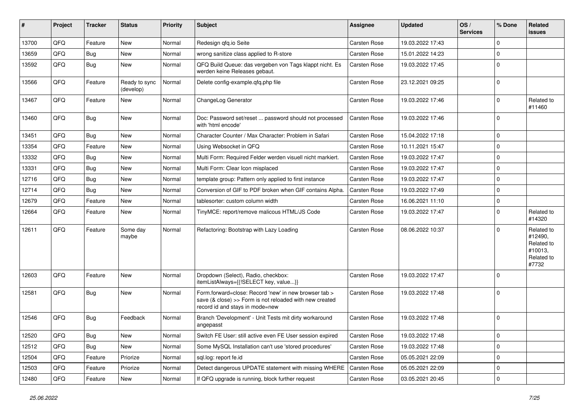| #     | Project | <b>Tracker</b> | <b>Status</b>              | <b>Priority</b> | Subject                                                                                                                                             | <b>Assignee</b> | <b>Updated</b>   | OS/<br><b>Services</b> | % Done      | <b>Related</b><br><b>issues</b>                                       |
|-------|---------|----------------|----------------------------|-----------------|-----------------------------------------------------------------------------------------------------------------------------------------------------|-----------------|------------------|------------------------|-------------|-----------------------------------------------------------------------|
| 13700 | QFQ     | Feature        | <b>New</b>                 | Normal          | Redesign qfq.io Seite                                                                                                                               | Carsten Rose    | 19.03.2022 17:43 |                        | $\Omega$    |                                                                       |
| 13659 | QFQ     | Bug            | New                        | Normal          | wrong sanitize class applied to R-store                                                                                                             | Carsten Rose    | 15.01.2022 14:23 |                        | $\Omega$    |                                                                       |
| 13592 | QFQ     | Bug            | New                        | Normal          | QFQ Build Queue: das vergeben von Tags klappt nicht. Es<br>werden keine Releases gebaut.                                                            | Carsten Rose    | 19.03.2022 17:45 |                        | $\Omega$    |                                                                       |
| 13566 | QFQ     | Feature        | Ready to sync<br>(develop) | Normal          | Delete config-example.gfg.php file                                                                                                                  | Carsten Rose    | 23.12.2021 09:25 |                        | $\Omega$    |                                                                       |
| 13467 | QFQ     | Feature        | <b>New</b>                 | Normal          | ChangeLog Generator                                                                                                                                 | Carsten Rose    | 19.03.2022 17:46 |                        | $\Omega$    | Related to<br>#11460                                                  |
| 13460 | QFQ     | Bug            | <b>New</b>                 | Normal          | Doc: Password set/reset  password should not processed<br>with 'html encode'                                                                        | Carsten Rose    | 19.03.2022 17:46 |                        | $\Omega$    |                                                                       |
| 13451 | QFQ     | Bug            | <b>New</b>                 | Normal          | Character Counter / Max Character: Problem in Safari                                                                                                | Carsten Rose    | 15.04.2022 17:18 |                        | $\Omega$    |                                                                       |
| 13354 | QFQ     | Feature        | <b>New</b>                 | Normal          | Using Websocket in QFQ                                                                                                                              | Carsten Rose    | 10.11.2021 15:47 |                        | $\Omega$    |                                                                       |
| 13332 | QFQ     | <b>Bug</b>     | <b>New</b>                 | Normal          | Multi Form: Required Felder werden visuell nicht markiert.                                                                                          | Carsten Rose    | 19.03.2022 17:47 |                        | $\Omega$    |                                                                       |
| 13331 | QFQ     | <b>Bug</b>     | New                        | Normal          | Multi Form: Clear Icon misplaced                                                                                                                    | Carsten Rose    | 19.03.2022 17:47 |                        | $\Omega$    |                                                                       |
| 12716 | QFQ     | <b>Bug</b>     | New                        | Normal          | template group: Pattern only applied to first instance                                                                                              | Carsten Rose    | 19.03.2022 17:47 |                        | $\Omega$    |                                                                       |
| 12714 | QFQ     | <b>Bug</b>     | New                        | Normal          | Conversion of GIF to PDF broken when GIF contains Alpha.                                                                                            | Carsten Rose    | 19.03.2022 17:49 |                        | $\Omega$    |                                                                       |
| 12679 | QFQ     | Feature        | <b>New</b>                 | Normal          | tablesorter: custom column width                                                                                                                    | Carsten Rose    | 16.06.2021 11:10 |                        | $\Omega$    |                                                                       |
| 12664 | QFQ     | Feature        | <b>New</b>                 | Normal          | TinyMCE: report/remove malicous HTML/JS Code                                                                                                        | Carsten Rose    | 19.03.2022 17:47 |                        | $\Omega$    | Related to<br>#14320                                                  |
| 12611 | QFQ     | Feature        | Some day<br>maybe          | Normal          | Refactoring: Bootstrap with Lazy Loading                                                                                                            | Carsten Rose    | 08.06.2022 10:37 |                        | $\Omega$    | Related to<br>#12490,<br>Related to<br>#10013,<br>Related to<br>#7732 |
| 12603 | QFQ     | Feature        | <b>New</b>                 | Normal          | Dropdown (Select), Radio, checkbox:<br>itemListAlways={{!SELECT key, value}}                                                                        | Carsten Rose    | 19.03.2022 17:47 |                        | $\Omega$    |                                                                       |
| 12581 | QFQ     | I Bug          | New                        | Normal          | Form.forward=close: Record 'new' in new browser tab ><br>save (& close) >> Form is not reloaded with new created<br>record id and stays in mode=new | Carsten Rose    | 19.03.2022 17:48 |                        | $\Omega$    |                                                                       |
| 12546 | QFQ     | Bug            | Feedback                   | Normal          | Branch 'Development' - Unit Tests mit dirty workaround<br>angepasst                                                                                 | Carsten Rose    | 19.03.2022 17:48 |                        | $\Omega$    |                                                                       |
| 12520 | QFQ     | Bug            | New                        | Normal          | Switch FE User: still active even FE User session expired                                                                                           | Carsten Rose    | 19.03.2022 17:48 |                        | $\mathbf 0$ |                                                                       |
| 12512 | QFQ     | <b>Bug</b>     | New                        | Normal          | Some MySQL Installation can't use 'stored procedures'                                                                                               | Carsten Rose    | 19.03.2022 17:48 |                        | 0           |                                                                       |
| 12504 | QFQ     | Feature        | Priorize                   | Normal          | sql.log: report fe.id                                                                                                                               | Carsten Rose    | 05.05.2021 22:09 |                        | 0           |                                                                       |
| 12503 | QFQ     | Feature        | Priorize                   | Normal          | Detect dangerous UPDATE statement with missing WHERE                                                                                                | Carsten Rose    | 05.05.2021 22:09 |                        | $\mathbf 0$ |                                                                       |
| 12480 | QFQ     | Feature        | New                        | Normal          | If QFQ upgrade is running, block further request                                                                                                    | Carsten Rose    | 03.05.2021 20:45 |                        | $\pmb{0}$   |                                                                       |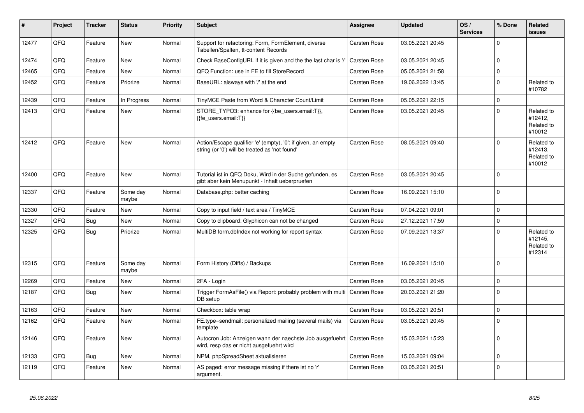| #     | Project | <b>Tracker</b> | <b>Status</b>     | <b>Priority</b> | <b>Subject</b>                                                                                                 | Assignee            | <b>Updated</b>   | OS/<br><b>Services</b> | % Done   | Related<br><b>issues</b>                      |
|-------|---------|----------------|-------------------|-----------------|----------------------------------------------------------------------------------------------------------------|---------------------|------------------|------------------------|----------|-----------------------------------------------|
| 12477 | QFQ     | Feature        | <b>New</b>        | Normal          | Support for refactoring: Form, FormElement, diverse<br>Tabellen/Spalten, tt-content Records                    | Carsten Rose        | 03.05.2021 20:45 |                        | $\Omega$ |                                               |
| 12474 | QFQ     | Feature        | <b>New</b>        | Normal          | Check BaseConfigURL if it is given and the the last char is '/'                                                | <b>Carsten Rose</b> | 03.05.2021 20:45 |                        | $\Omega$ |                                               |
| 12465 | QFQ     | Feature        | <b>New</b>        | Normal          | QFQ Function: use in FE to fill StoreRecord                                                                    | Carsten Rose        | 05.05.2021 21:58 |                        | $\Omega$ |                                               |
| 12452 | QFQ     | Feature        | Priorize          | Normal          | BaseURL: alsways with '/' at the end                                                                           | Carsten Rose        | 19.06.2022 13:45 |                        | $\Omega$ | Related to<br>#10782                          |
| 12439 | QFQ     | Feature        | In Progress       | Normal          | TinyMCE Paste from Word & Character Count/Limit                                                                | Carsten Rose        | 05.05.2021 22:15 |                        | $\Omega$ |                                               |
| 12413 | QFQ     | Feature        | New               | Normal          | STORE_TYPO3: enhance for {{be_users.email:T}},<br>{{fe users.email:T}}                                         | Carsten Rose        | 03.05.2021 20:45 |                        | $\Omega$ | Related to<br>#12412,<br>Related to<br>#10012 |
| 12412 | QFQ     | Feature        | <b>New</b>        | Normal          | Action/Escape qualifier 'e' (empty), '0': if given, an empty<br>string (or '0') will be treated as 'not found' | Carsten Rose        | 08.05.2021 09:40 |                        | $\Omega$ | Related to<br>#12413,<br>Related to<br>#10012 |
| 12400 | OFQ     | Feature        | <b>New</b>        | Normal          | Tutorial ist in QFQ Doku, Wird in der Suche gefunden, es<br>gibt aber kein Menupunkt - Inhalt ueberpruefen     | Carsten Rose        | 03.05.2021 20:45 |                        | $\Omega$ |                                               |
| 12337 | QFQ     | Feature        | Some day<br>maybe | Normal          | Database.php: better caching                                                                                   | Carsten Rose        | 16.09.2021 15:10 |                        | $\Omega$ |                                               |
| 12330 | QFQ     | Feature        | <b>New</b>        | Normal          | Copy to input field / text area / TinyMCE                                                                      | Carsten Rose        | 07.04.2021 09:01 |                        | $\Omega$ |                                               |
| 12327 | QFQ     | <b>Bug</b>     | <b>New</b>        | Normal          | Copy to clipboard: Glyphicon can not be changed                                                                | Carsten Rose        | 27.12.2021 17:59 |                        | $\Omega$ |                                               |
| 12325 | QFQ     | Bug            | Priorize          | Normal          | MultiDB form.dblndex not working for report syntax                                                             | Carsten Rose        | 07.09.2021 13:37 |                        | $\Omega$ | Related to<br>#12145,<br>Related to<br>#12314 |
| 12315 | QFQ     | Feature        | Some day<br>maybe | Normal          | Form History (Diffs) / Backups                                                                                 | <b>Carsten Rose</b> | 16.09.2021 15:10 |                        | $\Omega$ |                                               |
| 12269 | QFQ     | Feature        | New               | Normal          | 2FA - Login                                                                                                    | Carsten Rose        | 03.05.2021 20:45 |                        | $\Omega$ |                                               |
| 12187 | QFQ     | Bug            | New               | Normal          | Trigger FormAsFile() via Report: probably problem with multi<br>DB setup                                       | Carsten Rose        | 20.03.2021 21:20 |                        | $\Omega$ |                                               |
| 12163 | QFQ     | Feature        | <b>New</b>        | Normal          | Checkbox: table wrap                                                                                           | Carsten Rose        | 03.05.2021 20:51 |                        | $\Omega$ |                                               |
| 12162 | QFQ     | Feature        | New               | Normal          | FE.type=sendmail: personalized mailing (several mails) via<br>template                                         | Carsten Rose        | 03.05.2021 20:45 |                        | $\Omega$ |                                               |
| 12146 | QFQ     | Feature        | <b>New</b>        | Normal          | Autocron Job: Anzeigen wann der naechste Job ausgefuehrt<br>wird, resp das er nicht ausgefuehrt wird           | Carsten Rose        | 15.03.2021 15:23 |                        | $\Omega$ |                                               |
| 12133 | QFQ     | Bug            | <b>New</b>        | Normal          | NPM, phpSpreadSheet aktualisieren                                                                              | Carsten Rose        | 15.03.2021 09:04 |                        | $\Omega$ |                                               |
| 12119 | QFQ     | Feature        | <b>New</b>        | Normal          | AS paged: error message missing if there ist no 'r'<br>argument.                                               | Carsten Rose        | 03.05.2021 20:51 |                        | $\Omega$ |                                               |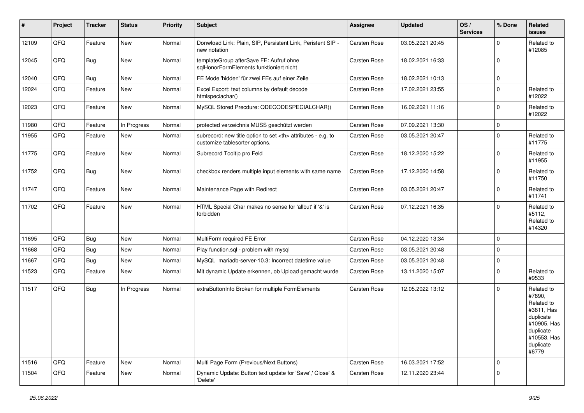| $\vert$ # | Project | <b>Tracker</b> | <b>Status</b> | <b>Priority</b> | <b>Subject</b>                                                                                       | <b>Assignee</b>                                        | <b>Updated</b>   | OS/<br><b>Services</b> | % Done      | Related<br>issues                                                                                                              |                      |
|-----------|---------|----------------|---------------|-----------------|------------------------------------------------------------------------------------------------------|--------------------------------------------------------|------------------|------------------------|-------------|--------------------------------------------------------------------------------------------------------------------------------|----------------------|
| 12109     | QFQ     | Feature        | New           | Normal          | Donwload Link: Plain, SIP, Persistent Link, Peristent SIP -<br>new notation                          | <b>Carsten Rose</b>                                    | 03.05.2021 20:45 |                        | $\mathbf 0$ | Related to<br>#12085                                                                                                           |                      |
| 12045     | QFQ     | Bug            | New           | Normal          | templateGroup afterSave FE: Aufruf ohne<br>sqlHonorFormElements funktioniert nicht                   | <b>Carsten Rose</b>                                    | 18.02.2021 16:33 |                        | $\mathbf 0$ |                                                                                                                                |                      |
| 12040     | QFQ     | Bug            | New           | Normal          | FE Mode 'hidden' für zwei FEs auf einer Zeile                                                        | Carsten Rose                                           | 18.02.2021 10:13 |                        | $\mathbf 0$ |                                                                                                                                |                      |
| 12024     | QFQ     | Feature        | New           | Normal          | Excel Export: text columns by default decode<br>htmlspeciachar()                                     | Carsten Rose                                           | 17.02.2021 23:55 |                        | $\pmb{0}$   | Related to<br>#12022                                                                                                           |                      |
| 12023     | QFQ     | Feature        | New           | Normal          | MySQL Stored Precdure: QDECODESPECIALCHAR()                                                          | Carsten Rose                                           | 16.02.2021 11:16 |                        | $\pmb{0}$   | Related to<br>#12022                                                                                                           |                      |
| 11980     | QFQ     | Feature        | In Progress   | Normal          | protected verzeichnis MUSS geschützt werden                                                          | <b>Carsten Rose</b>                                    | 07.09.2021 13:30 |                        | $\mathbf 0$ |                                                                                                                                |                      |
| 11955     | QFQ     | Feature        | New           | Normal          | subrecord: new title option to set <th> attributes - e.g. to<br/>customize tablesorter options.</th> | attributes - e.g. to<br>customize tablesorter options. | Carsten Rose     | 03.05.2021 20:47       |             | $\pmb{0}$                                                                                                                      | Related to<br>#11775 |
| 11775     | QFQ     | Feature        | New           | Normal          | Subrecord Tooltip pro Feld                                                                           | Carsten Rose                                           | 18.12.2020 15:22 |                        | $\mathbf 0$ | Related to<br>#11955                                                                                                           |                      |
| 11752     | QFQ     | <b>Bug</b>     | New           | Normal          | checkbox renders multiple input elements with same name                                              | <b>Carsten Rose</b>                                    | 17.12.2020 14:58 |                        | $\mathbf 0$ | Related to<br>#11750                                                                                                           |                      |
| 11747     | QFQ     | Feature        | New           | Normal          | Maintenance Page with Redirect                                                                       | Carsten Rose                                           | 03.05.2021 20:47 |                        | $\pmb{0}$   | Related to<br>#11741                                                                                                           |                      |
| 11702     | QFQ     | Feature        | New           | Normal          | HTML Special Char makes no sense for 'allbut' if '&' is<br>forbidden                                 | Carsten Rose                                           | 07.12.2021 16:35 |                        | $\mathbf 0$ | Related to<br>#5112,<br>Related to<br>#14320                                                                                   |                      |
| 11695     | QFQ     | Bug            | New           | Normal          | MultiForm required FE Error                                                                          | Carsten Rose                                           | 04.12.2020 13:34 |                        | $\mathbf 0$ |                                                                                                                                |                      |
| 11668     | QFQ     | Bug            | New           | Normal          | Play function.sql - problem with mysql                                                               | Carsten Rose                                           | 03.05.2021 20:48 |                        | $\mathbf 0$ |                                                                                                                                |                      |
| 11667     | QFQ     | Bug            | New           | Normal          | MySQL mariadb-server-10.3: Incorrect datetime value                                                  | <b>Carsten Rose</b>                                    | 03.05.2021 20:48 |                        | $\pmb{0}$   |                                                                                                                                |                      |
| 11523     | QFQ     | Feature        | New           | Normal          | Mit dynamic Update erkennen, ob Upload gemacht wurde                                                 | Carsten Rose                                           | 13.11.2020 15:07 |                        | $\mathbf 0$ | Related to<br>#9533                                                                                                            |                      |
| 11517     | QFQ     | Bug            | In Progress   | Normal          | extraButtonInfo Broken for multiple FormElements                                                     | Carsten Rose                                           | 12.05.2022 13:12 |                        | $\mathbf 0$ | Related to<br>#7890,<br>Related to<br>#3811, Has<br>duplicate<br>#10905, Has<br>duplicate<br>#10553, Has<br>duplicate<br>#6779 |                      |
| 11516     | QFQ     | Feature        | New           | Normal          | Multi Page Form (Previous/Next Buttons)                                                              | Carsten Rose                                           | 16.03.2021 17:52 |                        | $\pmb{0}$   |                                                                                                                                |                      |
| 11504     | QFQ     | Feature        | New           | Normal          | Dynamic Update: Button text update for 'Save',' Close' &<br>'Delete'                                 | Carsten Rose                                           | 12.11.2020 23:44 |                        | $\mathbf 0$ |                                                                                                                                |                      |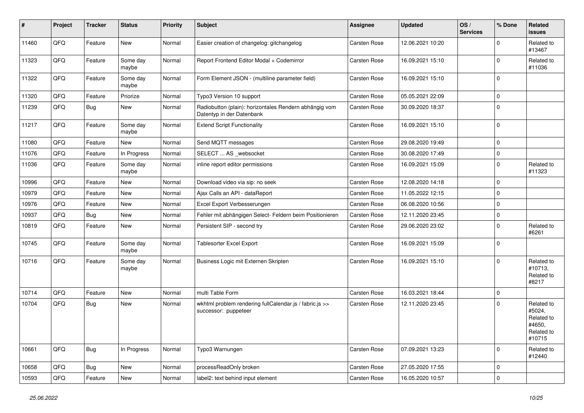| $\sharp$ | Project | <b>Tracker</b> | <b>Status</b>     | <b>Priority</b> | Subject                                                                             | <b>Assignee</b> | <b>Updated</b>   | OS/<br><b>Services</b> | % Done      | Related<br><b>issues</b>                                             |
|----------|---------|----------------|-------------------|-----------------|-------------------------------------------------------------------------------------|-----------------|------------------|------------------------|-------------|----------------------------------------------------------------------|
| 11460    | QFQ     | Feature        | New               | Normal          | Easier creation of changelog: gitchangelog                                          | Carsten Rose    | 12.06.2021 10:20 |                        | $\Omega$    | Related to<br>#13467                                                 |
| 11323    | QFQ     | Feature        | Some day<br>maybe | Normal          | Report Frontend Editor Modal + Codemirror                                           | Carsten Rose    | 16.09.2021 15:10 |                        | $\mathbf 0$ | Related to<br>#11036                                                 |
| 11322    | QFQ     | Feature        | Some day<br>maybe | Normal          | Form Element JSON - (multiline parameter field)                                     | Carsten Rose    | 16.09.2021 15:10 |                        | $\mathbf 0$ |                                                                      |
| 11320    | QFQ     | Feature        | Priorize          | Normal          | Typo3 Version 10 support                                                            | Carsten Rose    | 05.05.2021 22:09 |                        | $\pmb{0}$   |                                                                      |
| 11239    | QFQ     | <b>Bug</b>     | New               | Normal          | Radiobutton (plain): horizontales Rendern abhängig vom<br>Datentyp in der Datenbank | Carsten Rose    | 30.09.2020 18:37 |                        | $\Omega$    |                                                                      |
| 11217    | QFQ     | Feature        | Some day<br>maybe | Normal          | <b>Extend Script Functionality</b>                                                  | Carsten Rose    | 16.09.2021 15:10 |                        | $\mathbf 0$ |                                                                      |
| 11080    | QFQ     | Feature        | New               | Normal          | Send MQTT messages                                                                  | Carsten Rose    | 29.08.2020 19:49 |                        | $\mathbf 0$ |                                                                      |
| 11076    | QFQ     | Feature        | In Progress       | Normal          | SELECT  AS _websocket                                                               | Carsten Rose    | 30.08.2020 17:49 |                        | $\pmb{0}$   |                                                                      |
| 11036    | QFQ     | Feature        | Some day<br>maybe | Normal          | inline report editor permissions                                                    | Carsten Rose    | 16.09.2021 15:09 |                        | $\mathbf 0$ | Related to<br>#11323                                                 |
| 10996    | QFQ     | Feature        | New               | Normal          | Download video via sip: no seek                                                     | Carsten Rose    | 12.08.2020 14:18 |                        | $\mathbf 0$ |                                                                      |
| 10979    | QFQ     | Feature        | New               | Normal          | Ajax Calls an API - dataReport                                                      | Carsten Rose    | 11.05.2022 12:15 |                        | $\mathbf 0$ |                                                                      |
| 10976    | QFQ     | Feature        | New               | Normal          | Excel Export Verbesserungen                                                         | Carsten Rose    | 06.08.2020 10:56 |                        | $\mathbf 0$ |                                                                      |
| 10937    | QFQ     | Bug            | New               | Normal          | Fehler mit abhängigen Select- Feldern beim Positionieren                            | Carsten Rose    | 12.11.2020 23:45 |                        | $\mathbf 0$ |                                                                      |
| 10819    | QFQ     | Feature        | New               | Normal          | Persistent SIP - second try                                                         | Carsten Rose    | 29.06.2020 23:02 |                        | $\Omega$    | Related to<br>#6261                                                  |
| 10745    | QFQ     | Feature        | Some day<br>maybe | Normal          | <b>Tablesorter Excel Export</b>                                                     | Carsten Rose    | 16.09.2021 15:09 |                        | $\mathbf 0$ |                                                                      |
| 10716    | QFQ     | Feature        | Some day<br>maybe | Normal          | Business Logic mit Externen Skripten                                                | Carsten Rose    | 16.09.2021 15:10 |                        | $\Omega$    | Related to<br>#10713,<br>Related to<br>#8217                         |
| 10714    | QFQ     | Feature        | <b>New</b>        | Normal          | multi Table Form                                                                    | Carsten Rose    | 16.03.2021 18:44 |                        | $\pmb{0}$   |                                                                      |
| 10704    | QFQ     | <b>Bug</b>     | New               | Normal          | wkhtml problem rendering fullCalendar.js / fabric.js >><br>successor: puppeteer     | Carsten Rose    | 12.11.2020 23:45 |                        | $\Omega$    | Related to<br>#5024,<br>Related to<br>#4650,<br>Related to<br>#10715 |
| 10661    | QFQ     | <b>Bug</b>     | In Progress       | Normal          | Typo3 Warnungen                                                                     | Carsten Rose    | 07.09.2021 13:23 |                        | $\mathbf 0$ | Related to<br>#12440                                                 |
| 10658    | QFQ     | <b>Bug</b>     | New               | Normal          | processReadOnly broken                                                              | Carsten Rose    | 27.05.2020 17:55 |                        | $\pmb{0}$   |                                                                      |
| 10593    | QFG     | Feature        | New               | Normal          | label2: text behind input element                                                   | Carsten Rose    | 16.05.2020 10:57 |                        | $\pmb{0}$   |                                                                      |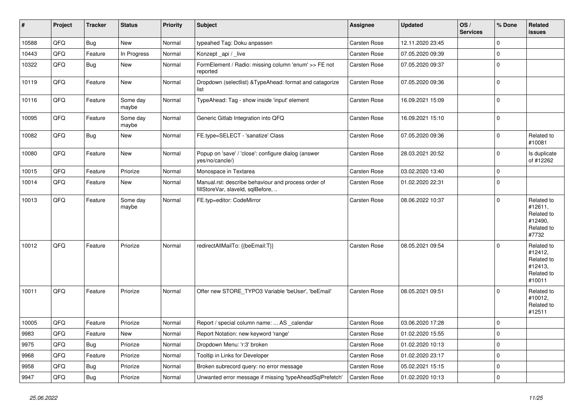| #     | Project | <b>Tracker</b> | <b>Status</b>     | <b>Priority</b> | <b>Subject</b>                                                                           | Assignee            | <b>Updated</b>   | OS/<br><b>Services</b> | % Done      | Related<br><b>issues</b>                                               |
|-------|---------|----------------|-------------------|-----------------|------------------------------------------------------------------------------------------|---------------------|------------------|------------------------|-------------|------------------------------------------------------------------------|
| 10588 | QFQ     | <b>Bug</b>     | <b>New</b>        | Normal          | typeahed Tag: Doku anpassen                                                              | Carsten Rose        | 12.11.2020 23:45 |                        | $\mathbf 0$ |                                                                        |
| 10443 | QFQ     | Feature        | In Progress       | Normal          | Konzept api / live                                                                       | Carsten Rose        | 07.05.2020 09:39 |                        | $\Omega$    |                                                                        |
| 10322 | QFQ     | Bug            | New               | Normal          | FormElement / Radio: missing column 'enum' >> FE not<br>reported                         | Carsten Rose        | 07.05.2020 09:37 |                        | $\Omega$    |                                                                        |
| 10119 | QFQ     | Feature        | <b>New</b>        | Normal          | Dropdown (selectlist) & TypeAhead: format and catagorize<br>list                         | Carsten Rose        | 07.05.2020 09:36 |                        | $\Omega$    |                                                                        |
| 10116 | QFQ     | Feature        | Some day<br>maybe | Normal          | TypeAhead: Tag - show inside 'input' element                                             | Carsten Rose        | 16.09.2021 15:09 |                        | $\Omega$    |                                                                        |
| 10095 | QFQ     | Feature        | Some day<br>maybe | Normal          | Generic Gitlab Integration into QFQ                                                      | Carsten Rose        | 16.09.2021 15:10 |                        | $\Omega$    |                                                                        |
| 10082 | QFQ     | Bug            | <b>New</b>        | Normal          | FE.type=SELECT - 'sanatize' Class                                                        | Carsten Rose        | 07.05.2020 09:36 |                        | $\Omega$    | Related to<br>#10081                                                   |
| 10080 | QFQ     | Feature        | New               | Normal          | Popup on 'save' / 'close': configure dialog (answer<br>yes/no/cancle/)                   | Carsten Rose        | 28.03.2021 20:52 |                        | $\Omega$    | Is duplicate<br>of #12262                                              |
| 10015 | QFQ     | Feature        | Priorize          | Normal          | Monospace in Textarea                                                                    | Carsten Rose        | 03.02.2020 13:40 |                        | $\mathbf 0$ |                                                                        |
| 10014 | QFQ     | Feature        | New               | Normal          | Manual.rst: describe behaviour and process order of<br>fillStoreVar, slaveId, sqlBefore, | Carsten Rose        | 01.02.2020 22:31 |                        | $\Omega$    |                                                                        |
| 10013 | QFQ     | Feature        | Some day<br>maybe | Normal          | FE.typ=editor: CodeMirror                                                                | Carsten Rose        | 08.06.2022 10:37 |                        | $\Omega$    | Related to<br>#12611,<br>Related to<br>#12490,<br>Related to<br>#7732  |
| 10012 | QFQ     | Feature        | Priorize          | Normal          | redirectAllMailTo: {{beEmail:T}}                                                         | <b>Carsten Rose</b> | 08.05.2021 09:54 |                        | $\Omega$    | Related to<br>#12412,<br>Related to<br>#12413,<br>Related to<br>#10011 |
| 10011 | QFQ     | Feature        | Priorize          | Normal          | Offer new STORE_TYPO3 Variable 'beUser', 'beEmail'                                       | <b>Carsten Rose</b> | 08.05.2021 09:51 |                        | $\Omega$    | Related to<br>#10012,<br>Related to<br>#12511                          |
| 10005 | QFQ     | Feature        | Priorize          | Normal          | Report / special column name:  AS _calendar                                              | Carsten Rose        | 03.06.2020 17:28 |                        | $\mathbf 0$ |                                                                        |
| 9983  | QFQ     | Feature        | New               | Normal          | Report Notation: new keyword 'range'                                                     | Carsten Rose        | 01.02.2020 15:55 |                        | $\Omega$    |                                                                        |
| 9975  | QFQ     | Bug            | Priorize          | Normal          | Dropdown Menu: 'r:3' broken                                                              | Carsten Rose        | 01.02.2020 10:13 |                        | $\Omega$    |                                                                        |
| 9968  | QFQ     | Feature        | Priorize          | Normal          | Tooltip in Links for Developer                                                           | Carsten Rose        | 01.02.2020 23:17 |                        | $\Omega$    |                                                                        |
| 9958  | QFQ     | <b>Bug</b>     | Priorize          | Normal          | Broken subrecord query: no error message                                                 | <b>Carsten Rose</b> | 05.02.2021 15:15 |                        | $\Omega$    |                                                                        |
| 9947  | QFQ     | <b>Bug</b>     | Priorize          | Normal          | Unwanted error message if missing 'typeAheadSqlPrefetch'                                 | <b>Carsten Rose</b> | 01.02.2020 10:13 |                        | $\Omega$    |                                                                        |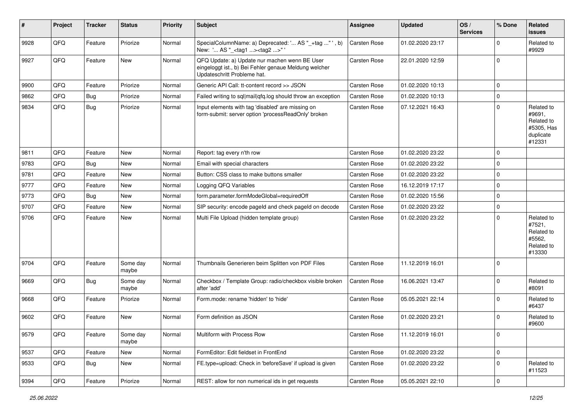| #    | Project | <b>Tracker</b> | <b>Status</b>     | <b>Priority</b> | <b>Subject</b>                                                                                                                        | <b>Assignee</b>     | <b>Updated</b>   | OS/<br><b>Services</b> | % Done      | <b>Related</b><br><b>issues</b>                                         |
|------|---------|----------------|-------------------|-----------------|---------------------------------------------------------------------------------------------------------------------------------------|---------------------|------------------|------------------------|-------------|-------------------------------------------------------------------------|
| 9928 | QFQ     | Feature        | Priorize          | Normal          | SpecialColumnName: a) Deprecated: ' AS "_+tag "', b)<br>New: ' AS "_ <tag1><tag2>"</tag2></tag1>                                      | <b>Carsten Rose</b> | 01.02.2020 23:17 |                        | $\Omega$    | Related to<br>#9929                                                     |
| 9927 | QFQ     | Feature        | New               | Normal          | QFQ Update: a) Update nur machen wenn BE User<br>eingeloggt ist., b) Bei Fehler genaue Meldung welcher<br>Updateschritt Probleme hat. | <b>Carsten Rose</b> | 22.01.2020 12:59 |                        | $\mathbf 0$ |                                                                         |
| 9900 | QFQ     | Feature        | Priorize          | Normal          | Generic API Call: tt-content record >> JSON                                                                                           | Carsten Rose        | 01.02.2020 10:13 |                        | $\mathbf 0$ |                                                                         |
| 9862 | QFQ     | Bug            | Priorize          | Normal          | Failed writing to sql mail qfq.log should throw an exception                                                                          | Carsten Rose        | 01.02.2020 10:13 |                        | 0           |                                                                         |
| 9834 | QFQ     | Bug            | Priorize          | Normal          | Input elements with tag 'disabled' are missing on<br>form-submit: server option 'processReadOnly' broken                              | Carsten Rose        | 07.12.2021 16:43 |                        | 0           | Related to<br>#9691,<br>Related to<br>#5305, Has<br>duplicate<br>#12331 |
| 9811 | QFQ     | Feature        | New               | Normal          | Report: tag every n'th row                                                                                                            | <b>Carsten Rose</b> | 01.02.2020 23:22 |                        | $\Omega$    |                                                                         |
| 9783 | QFQ     | Bug            | New               | Normal          | Email with special characters                                                                                                         | Carsten Rose        | 01.02.2020 23:22 |                        | $\mathbf 0$ |                                                                         |
| 9781 | QFQ     | Feature        | New               | Normal          | Button: CSS class to make buttons smaller                                                                                             | Carsten Rose        | 01.02.2020 23:22 |                        | 0           |                                                                         |
| 9777 | QFQ     | Feature        | New               | Normal          | Logging QFQ Variables                                                                                                                 | Carsten Rose        | 16.12.2019 17:17 |                        | $\mathbf 0$ |                                                                         |
| 9773 | QFQ     | Bug            | New               | Normal          | form.parameter.formModeGlobal=requiredOff                                                                                             | <b>Carsten Rose</b> | 01.02.2020 15:56 |                        | 0           |                                                                         |
| 9707 | QFQ     | Feature        | New               | Normal          | SIP security: encode pageld and check pageld on decode                                                                                | Carsten Rose        | 01.02.2020 23:22 |                        | 0           |                                                                         |
| 9706 | QFQ     | Feature        | New               | Normal          | Multi File Upload (hidden template group)                                                                                             | Carsten Rose        | 01.02.2020 23:22 |                        | 0           | Related to<br>#7521,<br>Related to<br>#5562,<br>Related to<br>#13330    |
| 9704 | QFQ     | Feature        | Some day<br>maybe | Normal          | Thumbnails Generieren beim Splitten von PDF Files                                                                                     | Carsten Rose        | 11.12.2019 16:01 |                        | $\mathbf 0$ |                                                                         |
| 9669 | QFQ     | <b>Bug</b>     | Some day<br>maybe | Normal          | Checkbox / Template Group: radio/checkbox visible broken<br>after 'add'                                                               | Carsten Rose        | 16.06.2021 13:47 |                        | 0           | Related to<br>#8091                                                     |
| 9668 | QFQ     | Feature        | Priorize          | Normal          | Form.mode: rename 'hidden' to 'hide'                                                                                                  | Carsten Rose        | 05.05.2021 22:14 |                        | $\mathbf 0$ | Related to<br>#6437                                                     |
| 9602 | QFQ     | Feature        | <b>New</b>        | Normal          | Form definition as JSON                                                                                                               | Carsten Rose        | 01.02.2020 23:21 |                        | $\mathbf 0$ | Related to<br>#9600                                                     |
| 9579 | QFQ     | Feature        | Some day<br>maybe | Normal          | Multiform with Process Row                                                                                                            | Carsten Rose        | 11.12.2019 16:01 |                        | 0           |                                                                         |
| 9537 | QFQ     | Feature        | New               | Normal          | FormEditor: Edit fieldset in FrontEnd                                                                                                 | Carsten Rose        | 01.02.2020 23:22 |                        | $\mathbf 0$ |                                                                         |
| 9533 | QFQ     | Bug            | New               | Normal          | FE.type=upload: Check in 'beforeSave' if upload is given                                                                              | Carsten Rose        | 01.02.2020 23:22 |                        | 0           | Related to<br>#11523                                                    |
| 9394 | QFQ     | Feature        | Priorize          | Normal          | REST: allow for non numerical ids in get requests                                                                                     | Carsten Rose        | 05.05.2021 22:10 |                        | $\pmb{0}$   |                                                                         |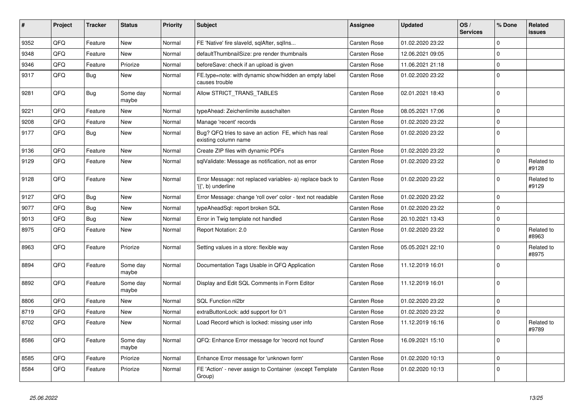| #    | Project | <b>Tracker</b> | <b>Status</b>     | <b>Priority</b> | <b>Subject</b>                                                                  | Assignee     | <b>Updated</b>   | OS/<br><b>Services</b> | % Done      | Related<br><b>issues</b> |
|------|---------|----------------|-------------------|-----------------|---------------------------------------------------------------------------------|--------------|------------------|------------------------|-------------|--------------------------|
| 9352 | QFQ     | Feature        | <b>New</b>        | Normal          | FE 'Native' fire slaveld, sqlAfter, sqlIns                                      | Carsten Rose | 01.02.2020 23:22 |                        | $\Omega$    |                          |
| 9348 | QFQ     | Feature        | <b>New</b>        | Normal          | defaultThumbnailSize: pre render thumbnails                                     | Carsten Rose | 12.06.2021 09:05 |                        | $\Omega$    |                          |
| 9346 | QFQ     | Feature        | Priorize          | Normal          | beforeSave: check if an upload is given                                         | Carsten Rose | 11.06.2021 21:18 |                        | $\Omega$    |                          |
| 9317 | QFQ     | <b>Bug</b>     | <b>New</b>        | Normal          | FE.type=note: with dynamic show/hidden an empty label<br>causes trouble         | Carsten Rose | 01.02.2020 23:22 |                        | $\mathbf 0$ |                          |
| 9281 | QFQ     | <b>Bug</b>     | Some day<br>maybe | Normal          | Allow STRICT_TRANS_TABLES                                                       | Carsten Rose | 02.01.2021 18:43 |                        | $\Omega$    |                          |
| 9221 | QFQ     | Feature        | <b>New</b>        | Normal          | typeAhead: Zeichenlimite ausschalten                                            | Carsten Rose | 08.05.2021 17:06 |                        | $\Omega$    |                          |
| 9208 | QFQ     | Feature        | New               | Normal          | Manage 'recent' records                                                         | Carsten Rose | 01.02.2020 23:22 |                        | $\Omega$    |                          |
| 9177 | QFQ     | Bug            | <b>New</b>        | Normal          | Bug? QFQ tries to save an action FE, which has real<br>existing column name     | Carsten Rose | 01.02.2020 23:22 |                        | $\Omega$    |                          |
| 9136 | QFQ     | Feature        | <b>New</b>        | Normal          | Create ZIP files with dynamic PDFs                                              | Carsten Rose | 01.02.2020 23:22 |                        | $\mathbf 0$ |                          |
| 9129 | QFQ     | Feature        | <b>New</b>        | Normal          | sqlValidate: Message as notification, not as error                              | Carsten Rose | 01.02.2020 23:22 |                        | $\Omega$    | Related to<br>#9128      |
| 9128 | QFQ     | Feature        | <b>New</b>        | Normal          | Error Message: not replaced variables- a) replace back to<br>'{{', b) underline | Carsten Rose | 01.02.2020 23:22 |                        | $\Omega$    | Related to<br>#9129      |
| 9127 | QFQ     | <b>Bug</b>     | <b>New</b>        | Normal          | Error Message: change 'roll over' color - text not readable                     | Carsten Rose | 01.02.2020 23:22 |                        | $\Omega$    |                          |
| 9077 | QFQ     | Bug            | <b>New</b>        | Normal          | typeAheadSql: report broken SQL                                                 | Carsten Rose | 01.02.2020 23:22 |                        | $\Omega$    |                          |
| 9013 | QFQ     | Bug            | <b>New</b>        | Normal          | Error in Twig template not handled                                              | Carsten Rose | 20.10.2021 13:43 |                        | $\mathbf 0$ |                          |
| 8975 | QFQ     | Feature        | <b>New</b>        | Normal          | Report Notation: 2.0                                                            | Carsten Rose | 01.02.2020 23:22 |                        | $\Omega$    | Related to<br>#8963      |
| 8963 | QFQ     | Feature        | Priorize          | Normal          | Setting values in a store: flexible way                                         | Carsten Rose | 05.05.2021 22:10 |                        | $\Omega$    | Related to<br>#8975      |
| 8894 | QFQ     | Feature        | Some day<br>maybe | Normal          | Documentation Tags Usable in QFQ Application                                    | Carsten Rose | 11.12.2019 16:01 |                        | $\Omega$    |                          |
| 8892 | QFQ     | Feature        | Some day<br>maybe | Normal          | Display and Edit SQL Comments in Form Editor                                    | Carsten Rose | 11.12.2019 16:01 |                        | $\Omega$    |                          |
| 8806 | QFQ     | Feature        | <b>New</b>        | Normal          | SQL Function nl2br                                                              | Carsten Rose | 01.02.2020 23:22 |                        | $\mathbf 0$ |                          |
| 8719 | QFQ     | Feature        | New               | Normal          | extraButtonLock: add support for 0/1                                            | Carsten Rose | 01.02.2020 23:22 |                        | $\Omega$    |                          |
| 8702 | QFQ     | Feature        | <b>New</b>        | Normal          | Load Record which is locked: missing user info                                  | Carsten Rose | 11.12.2019 16:16 |                        | $\Omega$    | Related to<br>#9789      |
| 8586 | QFQ     | Feature        | Some day<br>maybe | Normal          | QFQ: Enhance Error message for 'record not found'                               | Carsten Rose | 16.09.2021 15:10 |                        | $\Omega$    |                          |
| 8585 | QFQ     | Feature        | Priorize          | Normal          | Enhance Error message for 'unknown form'                                        | Carsten Rose | 01.02.2020 10:13 |                        | $\Omega$    |                          |
| 8584 | QFQ     | Feature        | Priorize          | Normal          | FE 'Action' - never assign to Container (except Template<br>Group)              | Carsten Rose | 01.02.2020 10:13 |                        | $\Omega$    |                          |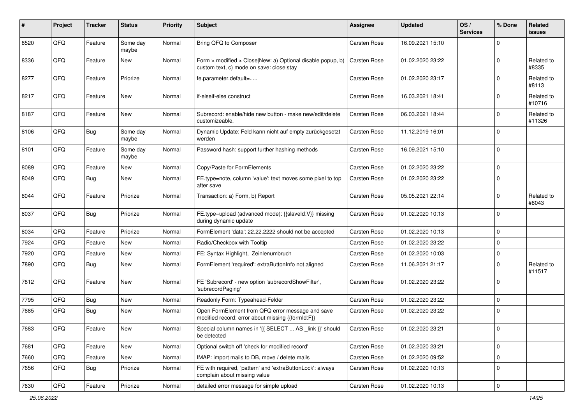| #    | Project | <b>Tracker</b> | <b>Status</b>     | <b>Priority</b> | <b>Subject</b>                                                                                         | <b>Assignee</b> | <b>Updated</b>   | OS/<br><b>Services</b> | % Done      | <b>Related</b><br><b>issues</b> |
|------|---------|----------------|-------------------|-----------------|--------------------------------------------------------------------------------------------------------|-----------------|------------------|------------------------|-------------|---------------------------------|
| 8520 | QFQ     | Feature        | Some day<br>maybe | Normal          | Bring QFQ to Composer                                                                                  | Carsten Rose    | 16.09.2021 15:10 |                        | $\Omega$    |                                 |
| 8336 | QFQ     | Feature        | New               | Normal          | Form > modified > Close New: a) Optional disable popup, b)<br>custom text, c) mode on save: close stay | Carsten Rose    | 01.02.2020 23:22 |                        | $\mathbf 0$ | Related to<br>#8335             |
| 8277 | QFQ     | Feature        | Priorize          | Normal          | fe.parameter.default=                                                                                  | Carsten Rose    | 01.02.2020 23:17 |                        | $\Omega$    | Related to<br>#8113             |
| 8217 | QFQ     | Feature        | New               | Normal          | if-elseif-else construct                                                                               | Carsten Rose    | 16.03.2021 18:41 |                        | $\mathbf 0$ | Related to<br>#10716            |
| 8187 | QFQ     | Feature        | <b>New</b>        | Normal          | Subrecord: enable/hide new button - make new/edit/delete<br>customizeable.                             | Carsten Rose    | 06.03.2021 18:44 |                        | $\mathbf 0$ | Related to<br>#11326            |
| 8106 | QFQ     | Bug            | Some day<br>maybe | Normal          | Dynamic Update: Feld kann nicht auf empty zurückgesetzt<br>werden                                      | Carsten Rose    | 11.12.2019 16:01 |                        | $\mathbf 0$ |                                 |
| 8101 | QFQ     | Feature        | Some day<br>maybe | Normal          | Password hash: support further hashing methods                                                         | Carsten Rose    | 16.09.2021 15:10 |                        | $\mathbf 0$ |                                 |
| 8089 | QFQ     | Feature        | <b>New</b>        | Normal          | Copy/Paste for FormElements                                                                            | Carsten Rose    | 01.02.2020 23:22 |                        | $\mathbf 0$ |                                 |
| 8049 | QFQ     | Bug            | New               | Normal          | FE.type=note, column 'value': text moves some pixel to top<br>after save                               | Carsten Rose    | 01.02.2020 23:22 |                        | $\Omega$    |                                 |
| 8044 | QFQ     | Feature        | Priorize          | Normal          | Transaction: a) Form, b) Report                                                                        | Carsten Rose    | 05.05.2021 22:14 |                        | $\mathbf 0$ | Related to<br>#8043             |
| 8037 | QFQ     | Bug            | Priorize          | Normal          | FE.type=upload (advanced mode): {{slaveId:V}} missing<br>during dynamic update                         | Carsten Rose    | 01.02.2020 10:13 |                        | $\mathbf 0$ |                                 |
| 8034 | QFQ     | Feature        | Priorize          | Normal          | FormElement 'data': 22.22.2222 should not be accepted                                                  | Carsten Rose    | 01.02.2020 10:13 |                        | $\mathbf 0$ |                                 |
| 7924 | QFQ     | Feature        | <b>New</b>        | Normal          | Radio/Checkbox with Tooltip                                                                            | Carsten Rose    | 01.02.2020 23:22 |                        | $\mathbf 0$ |                                 |
| 7920 | QFQ     | Feature        | New               | Normal          | FE: Syntax Highlight, Zeinlenumbruch                                                                   | Carsten Rose    | 01.02.2020 10:03 |                        | $\mathbf 0$ |                                 |
| 7890 | QFQ     | <b>Bug</b>     | New               | Normal          | FormElement 'required': extraButtonInfo not aligned                                                    | Carsten Rose    | 11.06.2021 21:17 |                        | $\Omega$    | Related to<br>#11517            |
| 7812 | QFQ     | Feature        | <b>New</b>        | Normal          | FE 'Subrecord' - new option 'subrecordShowFilter',<br>'subrecordPaging'                                | Carsten Rose    | 01.02.2020 23:22 |                        | $\Omega$    |                                 |
| 7795 | QFQ     | Bug            | New               | Normal          | Readonly Form: Typeahead-Felder                                                                        | Carsten Rose    | 01.02.2020 23:22 |                        | $\mathbf 0$ |                                 |
| 7685 | QFQ     | Bug            | New               | Normal          | Open FormElement from QFQ error message and save<br>modified record: error about missing {{formId:F}}  | Carsten Rose    | 01.02.2020 23:22 |                        | $\mathbf 0$ |                                 |
| 7683 | QFQ     | Feature        | New               | Normal          | Special column names in '{{ SELECT  AS _link }}' should<br>be detected                                 | Carsten Rose    | 01.02.2020 23:21 |                        | $\mathbf 0$ |                                 |
| 7681 | QFQ     | Feature        | New               | Normal          | Optional switch off 'check for modified record'                                                        | Carsten Rose    | 01.02.2020 23:21 |                        | $\mathbf 0$ |                                 |
| 7660 | QFQ     | Feature        | New               | Normal          | IMAP: import mails to DB, move / delete mails                                                          | Carsten Rose    | 01.02.2020 09:52 |                        | $\mathbf 0$ |                                 |
| 7656 | QFQ     | Bug            | Priorize          | Normal          | FE with required, 'pattern' and 'extraButtonLock': always<br>complain about missing value              | Carsten Rose    | 01.02.2020 10:13 |                        | $\mathbf 0$ |                                 |
| 7630 | QFG     | Feature        | Priorize          | Normal          | detailed error message for simple upload                                                               | Carsten Rose    | 01.02.2020 10:13 |                        | $\pmb{0}$   |                                 |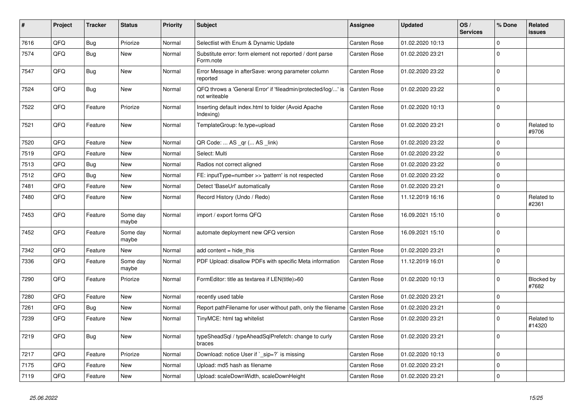| $\vert$ # | Project | <b>Tracker</b> | <b>Status</b>     | <b>Priority</b> | <b>Subject</b>                                                                 | Assignee     | <b>Updated</b>   | OS/<br><b>Services</b> | % Done      | Related<br><b>issues</b> |
|-----------|---------|----------------|-------------------|-----------------|--------------------------------------------------------------------------------|--------------|------------------|------------------------|-------------|--------------------------|
| 7616      | QFQ     | <b>Bug</b>     | Priorize          | Normal          | Selectlist with Enum & Dynamic Update                                          | Carsten Rose | 01.02.2020 10:13 |                        | $\mathbf 0$ |                          |
| 7574      | QFQ     | <b>Bug</b>     | New               | Normal          | Substitute error: form element not reported / dont parse<br>Form.note          | Carsten Rose | 01.02.2020 23:21 |                        | $\mathbf 0$ |                          |
| 7547      | QFQ     | Bug            | <b>New</b>        | Normal          | Error Message in afterSave: wrong parameter column<br>reported                 | Carsten Rose | 01.02.2020 23:22 |                        | $\mathbf 0$ |                          |
| 7524      | QFQ     | Bug            | New               | Normal          | QFQ throws a 'General Error' if 'fileadmin/protected/log/' is<br>not writeable | Carsten Rose | 01.02.2020 23:22 |                        | $\mathbf 0$ |                          |
| 7522      | QFQ     | Feature        | Priorize          | Normal          | Inserting default index.html to folder (Avoid Apache<br>Indexina)              | Carsten Rose | 01.02.2020 10:13 |                        | $\mathbf 0$ |                          |
| 7521      | QFQ     | Feature        | <b>New</b>        | Normal          | TemplateGroup: fe.type=upload                                                  | Carsten Rose | 01.02.2020 23:21 |                        | $\mathbf 0$ | Related to<br>#9706      |
| 7520      | QFQ     | Feature        | New               | Normal          | QR Code:  AS _qr ( AS _link)                                                   | Carsten Rose | 01.02.2020 23:22 |                        | $\mathbf 0$ |                          |
| 7519      | QFQ     | Feature        | New               | Normal          | Select: Multi                                                                  | Carsten Rose | 01.02.2020 23:22 |                        | $\mathbf 0$ |                          |
| 7513      | QFQ     | <b>Bug</b>     | New               | Normal          | Radios not correct aligned                                                     | Carsten Rose | 01.02.2020 23:22 |                        | $\mathbf 0$ |                          |
| 7512      | QFQ     | Bug            | New               | Normal          | FE: inputType=number >> 'pattern' is not respected                             | Carsten Rose | 01.02.2020 23:22 |                        | $\mathbf 0$ |                          |
| 7481      | QFQ     | Feature        | New               | Normal          | Detect 'BaseUrl' automatically                                                 | Carsten Rose | 01.02.2020 23:21 |                        | $\mathbf 0$ |                          |
| 7480      | QFQ     | Feature        | New               | Normal          | Record History (Undo / Redo)                                                   | Carsten Rose | 11.12.2019 16:16 |                        | $\mathbf 0$ | Related to<br>#2361      |
| 7453      | QFQ     | Feature        | Some day<br>maybe | Normal          | import / export forms QFQ                                                      | Carsten Rose | 16.09.2021 15:10 |                        | $\mathbf 0$ |                          |
| 7452      | QFQ     | Feature        | Some day<br>maybe | Normal          | automate deployment new QFQ version                                            | Carsten Rose | 16.09.2021 15:10 |                        | $\mathbf 0$ |                          |
| 7342      | QFQ     | Feature        | New               | Normal          | add content $=$ hide this                                                      | Carsten Rose | 01.02.2020 23:21 |                        | $\mathbf 0$ |                          |
| 7336      | QFQ     | Feature        | Some day<br>maybe | Normal          | PDF Upload: disallow PDFs with specific Meta information                       | Carsten Rose | 11.12.2019 16:01 |                        | $\mathbf 0$ |                          |
| 7290      | QFQ     | Feature        | Priorize          | Normal          | FormEditor: title as textarea if LEN(title)>60                                 | Carsten Rose | 01.02.2020 10:13 |                        | $\mathbf 0$ | Blocked by<br>#7682      |
| 7280      | QFQ     | Feature        | New               | Normal          | recently used table                                                            | Carsten Rose | 01.02.2020 23:21 |                        | $\mathbf 0$ |                          |
| 7261      | QFQ     | <b>Bug</b>     | New               | Normal          | Report pathFilename for user without path, only the filename                   | Carsten Rose | 01.02.2020 23:21 |                        | $\mathbf 0$ |                          |
| 7239      | QFQ     | Feature        | New               | Normal          | TinyMCE: html tag whitelist                                                    | Carsten Rose | 01.02.2020 23:21 |                        | $\mathbf 0$ | Related to<br>#14320     |
| 7219      | QFQ     | Bug            | New               | Normal          | typeSheadSql / typeAheadSqlPrefetch: change to curly<br>braces                 | Carsten Rose | 01.02.2020 23:21 |                        | $\mathbf 0$ |                          |
| 7217      | QFQ     | Feature        | Priorize          | Normal          | Download: notice User if `_sip=?` is missing                                   | Carsten Rose | 01.02.2020 10:13 |                        | $\mathbf 0$ |                          |
| 7175      | QFQ     | Feature        | New               | Normal          | Upload: md5 hash as filename                                                   | Carsten Rose | 01.02.2020 23:21 |                        | $\mathbf 0$ |                          |
| 7119      | QFQ     | Feature        | New               | Normal          | Upload: scaleDownWidth, scaleDownHeight                                        | Carsten Rose | 01.02.2020 23:21 |                        | $\Omega$    |                          |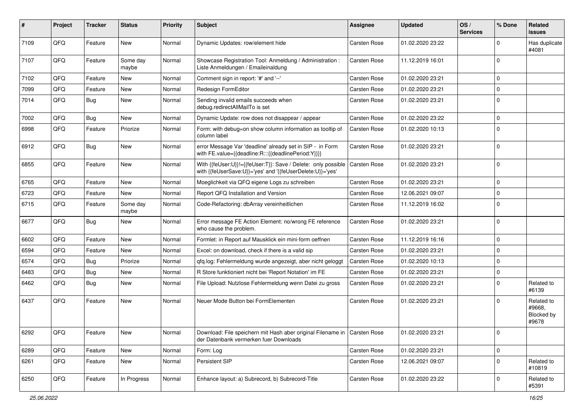| #    | Project | <b>Tracker</b> | <b>Status</b>     | <b>Priority</b> | <b>Subject</b>                                                                                                             | <b>Assignee</b>     | <b>Updated</b>   | OS/<br><b>Services</b> | % Done      | Related<br>issues                           |
|------|---------|----------------|-------------------|-----------------|----------------------------------------------------------------------------------------------------------------------------|---------------------|------------------|------------------------|-------------|---------------------------------------------|
| 7109 | QFQ     | Feature        | <b>New</b>        | Normal          | Dynamic Updates: row/element hide                                                                                          | Carsten Rose        | 01.02.2020 23:22 |                        | $\Omega$    | Has duplicate<br>#4081                      |
| 7107 | QFQ     | Feature        | Some day<br>maybe | Normal          | Showcase Registration Tool: Anmeldung / Administration :<br>Liste Anmeldungen / Emaileinaldung                             | Carsten Rose        | 11.12.2019 16:01 |                        | $\Omega$    |                                             |
| 7102 | QFQ     | Feature        | New               | Normal          | Comment sign in report: '#' and '--'                                                                                       | Carsten Rose        | 01.02.2020 23:21 |                        | $\Omega$    |                                             |
| 7099 | QFQ     | Feature        | <b>New</b>        | Normal          | Redesign FormEditor                                                                                                        | Carsten Rose        | 01.02.2020 23:21 |                        | $\Omega$    |                                             |
| 7014 | QFQ     | Bug            | <b>New</b>        | Normal          | Sending invalid emails succeeds when<br>debug.redirectAllMailTo is set                                                     | Carsten Rose        | 01.02.2020 23:21 |                        | $\Omega$    |                                             |
| 7002 | QFQ     | Bug            | <b>New</b>        | Normal          | Dynamic Update: row does not disappear / appear                                                                            | <b>Carsten Rose</b> | 01.02.2020 23:22 |                        | $\Omega$    |                                             |
| 6998 | QFQ     | Feature        | Priorize          | Normal          | Form: with debug=on show column information as tooltip of<br>column label                                                  | Carsten Rose        | 01.02.2020 10:13 |                        | $\mathbf 0$ |                                             |
| 6912 | QFQ     | Bug            | <b>New</b>        | Normal          | error Message Var 'deadline' already set in SIP - in Form<br>with FE.value={{deadline:R:::{{deadlinePeriod:Y}}}}           | <b>Carsten Rose</b> | 01.02.2020 23:21 |                        | $\Omega$    |                                             |
| 6855 | QFQ     | Feature        | <b>New</b>        | Normal          | With {{feUser:U}}!={{feUser:T}}: Save / Delete: only possible<br>with {{feUserSave:U}}='yes' and '{{feUserDelete:U}}='yes' | Carsten Rose        | 01.02.2020 23:21 |                        | $\Omega$    |                                             |
| 6765 | QFQ     | Feature        | <b>New</b>        | Normal          | Moeglichkeit via QFQ eigene Logs zu schreiben                                                                              | Carsten Rose        | 01.02.2020 23:21 |                        | $\Omega$    |                                             |
| 6723 | QFQ     | Feature        | New               | Normal          | Report QFQ Installation and Version                                                                                        | Carsten Rose        | 12.06.2021 09:07 |                        | $\Omega$    |                                             |
| 6715 | QFQ     | Feature        | Some day<br>maybe | Normal          | Code-Refactoring: dbArray vereinheitlichen                                                                                 | Carsten Rose        | 11.12.2019 16:02 |                        | $\Omega$    |                                             |
| 6677 | QFQ     | Bug            | <b>New</b>        | Normal          | Error message FE Action Element: no/wrong FE reference<br>who cause the problem.                                           | Carsten Rose        | 01.02.2020 23:21 |                        | $\Omega$    |                                             |
| 6602 | QFQ     | Feature        | <b>New</b>        | Normal          | Formlet: in Report auf Mausklick ein mini-form oeffnen                                                                     | Carsten Rose        | 11.12.2019 16:16 |                        | $\Omega$    |                                             |
| 6594 | QFQ     | Feature        | <b>New</b>        | Normal          | Excel: on download, check if there is a valid sip                                                                          | Carsten Rose        | 01.02.2020 23:21 |                        | $\mathbf 0$ |                                             |
| 6574 | QFQ     | Bug            | Priorize          | Normal          | qfq.log: Fehlermeldung wurde angezeigt, aber nicht geloggt                                                                 | Carsten Rose        | 01.02.2020 10:13 |                        | $\Omega$    |                                             |
| 6483 | QFQ     | Bug            | <b>New</b>        | Normal          | R Store funktioniert nicht bei 'Report Notation' im FE                                                                     | Carsten Rose        | 01.02.2020 23:21 |                        | $\mathbf 0$ |                                             |
| 6462 | QFQ     | Bug            | <b>New</b>        | Normal          | File Upload: Nutzlose Fehlermeldung wenn Datei zu gross                                                                    | Carsten Rose        | 01.02.2020 23:21 |                        | 0           | Related to<br>#6139                         |
| 6437 | QFQ     | Feature        | New               | Normal          | Neuer Mode Button bei FormElementen                                                                                        | Carsten Rose        | 01.02.2020 23:21 |                        | $\Omega$    | Related to<br>#9668.<br>Blocked by<br>#9678 |
| 6292 | QFQ     | Feature        | New               | Normal          | Download: File speichern mit Hash aber original Filename in   Carsten Rose<br>der Datenbank vermerken fuer Downloads       |                     | 01.02.2020 23:21 |                        | $\mathbf 0$ |                                             |
| 6289 | QFQ     | Feature        | New               | Normal          | Form: Log                                                                                                                  | Carsten Rose        | 01.02.2020 23:21 |                        | $\pmb{0}$   |                                             |
| 6261 | QFQ     | Feature        | New               | Normal          | Persistent SIP                                                                                                             | Carsten Rose        | 12.06.2021 09:07 |                        | $\mathbf 0$ | Related to<br>#10819                        |
| 6250 | QFG     | Feature        | In Progress       | Normal          | Enhance layout: a) Subrecord, b) Subrecord-Title                                                                           | Carsten Rose        | 01.02.2020 23:22 |                        | 0           | Related to<br>#5391                         |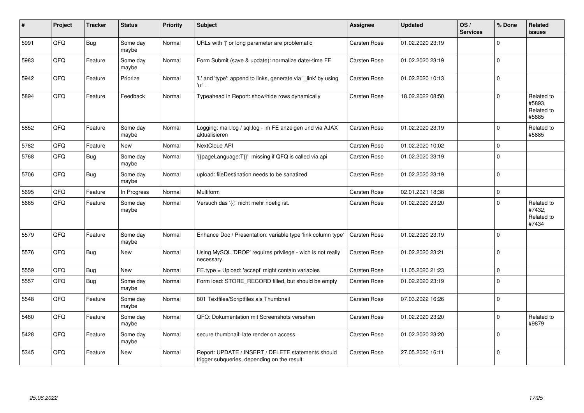| #    | Project | <b>Tracker</b> | <b>Status</b>     | <b>Priority</b> | <b>Subject</b>                                                                                     | Assignee            | <b>Updated</b>   | OS/<br><b>Services</b> | % Done   | Related<br><b>issues</b>                    |
|------|---------|----------------|-------------------|-----------------|----------------------------------------------------------------------------------------------------|---------------------|------------------|------------------------|----------|---------------------------------------------|
| 5991 | QFQ     | <b>Bug</b>     | Some day<br>maybe | Normal          | URLs with ' ' or long parameter are problematic                                                    | Carsten Rose        | 01.02.2020 23:19 |                        | $\Omega$ |                                             |
| 5983 | QFQ     | Feature        | Some day<br>maybe | Normal          | Form Submit (save & update): normalize date/-time FE                                               | Carsten Rose        | 01.02.2020 23:19 |                        | $\Omega$ |                                             |
| 5942 | QFQ     | Feature        | Priorize          | Normal          | 'L' and 'type': append to links, generate via '_link' by using<br>'u.' .                           | Carsten Rose        | 01.02.2020 10:13 |                        | $\Omega$ |                                             |
| 5894 | QFQ     | Feature        | Feedback          | Normal          | Typeahead in Report: show/hide rows dynamically                                                    | Carsten Rose        | 18.02.2022 08:50 |                        | $\Omega$ | Related to<br>#5893.<br>Related to<br>#5885 |
| 5852 | QFQ     | Feature        | Some day<br>maybe | Normal          | Logging: mail.log / sql.log - im FE anzeigen und via AJAX<br>aktualisieren                         | Carsten Rose        | 01.02.2020 23:19 |                        | $\Omega$ | Related to<br>#5885                         |
| 5782 | QFQ     | Feature        | <b>New</b>        | Normal          | NextCloud API                                                                                      | Carsten Rose        | 01.02.2020 10:02 |                        | $\Omega$ |                                             |
| 5768 | QFQ     | Bug            | Some day<br>maybe | Normal          | {{pageLanguage:T}}' missing if QFQ is called via api                                               | <b>Carsten Rose</b> | 01.02.2020 23:19 |                        | $\Omega$ |                                             |
| 5706 | QFQ     | <b>Bug</b>     | Some day<br>maybe | Normal          | upload: fileDestination needs to be sanatized                                                      | <b>Carsten Rose</b> | 01.02.2020 23:19 |                        | $\Omega$ |                                             |
| 5695 | QFQ     | Feature        | In Progress       | Normal          | Multiform                                                                                          | Carsten Rose        | 02.01.2021 18:38 |                        | $\Omega$ |                                             |
| 5665 | QFQ     | Feature        | Some day<br>maybe | Normal          | Versuch das '{{!' nicht mehr noetig ist.                                                           | Carsten Rose        | 01.02.2020 23:20 |                        | $\Omega$ | Related to<br>#7432,<br>Related to<br>#7434 |
| 5579 | QFQ     | Feature        | Some day<br>maybe | Normal          | Enhance Doc / Presentation: variable type 'link column type'                                       | <b>Carsten Rose</b> | 01.02.2020 23:19 |                        | $\Omega$ |                                             |
| 5576 | QFQ     | Bug            | <b>New</b>        | Normal          | Using MySQL 'DROP' requires privilege - wich is not really<br>necessary.                           | Carsten Rose        | 01.02.2020 23:21 |                        | $\Omega$ |                                             |
| 5559 | QFQ     | <b>Bug</b>     | New               | Normal          | FE.type = Upload: 'accept' might contain variables                                                 | Carsten Rose        | 11.05.2020 21:23 |                        | $\Omega$ |                                             |
| 5557 | QFQ     | <b>Bug</b>     | Some day<br>maybe | Normal          | Form load: STORE_RECORD filled, but should be empty                                                | Carsten Rose        | 01.02.2020 23:19 |                        | $\Omega$ |                                             |
| 5548 | QFQ     | Feature        | Some day<br>maybe | Normal          | 801 Textfiles/Scriptfiles als Thumbnail                                                            | Carsten Rose        | 07.03.2022 16:26 |                        | $\Omega$ |                                             |
| 5480 | QFQ     | Feature        | Some day<br>maybe | Normal          | QFQ: Dokumentation mit Screenshots versehen                                                        | Carsten Rose        | 01.02.2020 23:20 |                        | $\Omega$ | Related to<br>#9879                         |
| 5428 | QFQ     | Feature        | Some day<br>maybe | Normal          | secure thumbnail: late render on access.                                                           | Carsten Rose        | 01.02.2020 23:20 |                        | $\Omega$ |                                             |
| 5345 | QFQ     | Feature        | <b>New</b>        | Normal          | Report: UPDATE / INSERT / DELETE statements should<br>trigger subqueries, depending on the result. | <b>Carsten Rose</b> | 27.05.2020 16:11 |                        | $\Omega$ |                                             |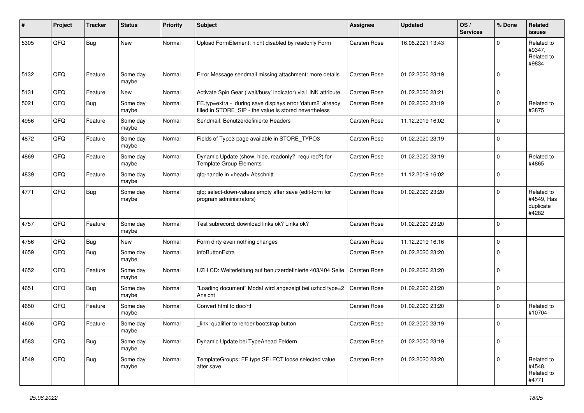| #    | Project | <b>Tracker</b> | <b>Status</b>     | <b>Priority</b> | <b>Subject</b>                                                                                                       | <b>Assignee</b>     | <b>Updated</b>   | OS/<br><b>Services</b> | % Done      | Related<br>issues                              |
|------|---------|----------------|-------------------|-----------------|----------------------------------------------------------------------------------------------------------------------|---------------------|------------------|------------------------|-------------|------------------------------------------------|
| 5305 | QFQ     | Bug            | <b>New</b>        | Normal          | Upload FormElement: nicht disabled by readonly Form                                                                  | <b>Carsten Rose</b> | 16.06.2021 13:43 |                        | $\Omega$    | Related to<br>#9347,<br>Related to<br>#9834    |
| 5132 | QFQ     | Feature        | Some day<br>maybe | Normal          | Error Message sendmail missing attachment: more details                                                              | <b>Carsten Rose</b> | 01.02.2020 23:19 |                        | $\Omega$    |                                                |
| 5131 | QFQ     | Feature        | <b>New</b>        | Normal          | Activate Spin Gear ('wait/busy' indicator) via LINK attribute                                                        | <b>Carsten Rose</b> | 01.02.2020 23:21 |                        | 0           |                                                |
| 5021 | QFQ     | <b>Bug</b>     | Some day<br>maybe | Normal          | FE.typ=extra - during save displays error 'datum2' already<br>filled in STORE_SIP - the value is stored nevertheless | Carsten Rose        | 01.02.2020 23:19 |                        | $\mathbf 0$ | Related to<br>#3875                            |
| 4956 | QFQ     | Feature        | Some day<br>maybe | Normal          | Sendmail: Benutzerdefinierte Headers                                                                                 | Carsten Rose        | 11.12.2019 16:02 |                        | $\Omega$    |                                                |
| 4872 | QFQ     | Feature        | Some day<br>maybe | Normal          | Fields of Typo3 page available in STORE_TYPO3                                                                        | Carsten Rose        | 01.02.2020 23:19 |                        | $\Omega$    |                                                |
| 4869 | QFQ     | Feature        | Some day<br>maybe | Normal          | Dynamic Update (show, hide, readonly?, required?) for<br><b>Template Group Elements</b>                              | Carsten Rose        | 01.02.2020 23:19 |                        | $\mathbf 0$ | Related to<br>#4865                            |
| 4839 | QFQ     | Feature        | Some day<br>maybe | Normal          | qfq-handle in <head> Abschnitt</head>                                                                                | Carsten Rose        | 11.12.2019 16:02 |                        | $\Omega$    |                                                |
| 4771 | QFQ     | Bug            | Some day<br>maybe | Normal          | qfq: select-down-values empty after save (edit-form for<br>program administrators)                                   | <b>Carsten Rose</b> | 01.02.2020 23:20 |                        | $\Omega$    | Related to<br>#4549, Has<br>duplicate<br>#4282 |
| 4757 | QFQ     | Feature        | Some day<br>maybe | Normal          | Test subrecord: download links ok? Links ok?                                                                         | <b>Carsten Rose</b> | 01.02.2020 23:20 |                        | $\Omega$    |                                                |
| 4756 | QFQ     | Bug            | New               | Normal          | Form dirty even nothing changes                                                                                      | <b>Carsten Rose</b> | 11.12.2019 16:16 |                        | $\mathbf 0$ |                                                |
| 4659 | QFQ     | Bug            | Some day<br>maybe | Normal          | infoButtonExtra                                                                                                      | Carsten Rose        | 01.02.2020 23:20 |                        | $\Omega$    |                                                |
| 4652 | QFQ     | Feature        | Some day<br>maybe | Normal          | UZH CD: Weiterleitung auf benutzerdefinierte 403/404 Seite                                                           | Carsten Rose        | 01.02.2020 23:20 |                        | $\mathbf 0$ |                                                |
| 4651 | QFQ     | Bug            | Some day<br>maybe | Normal          | "Loading document" Modal wird angezeigt bei uzhcd type=2<br>Ansicht                                                  | <b>Carsten Rose</b> | 01.02.2020 23:20 |                        | $\Omega$    |                                                |
| 4650 | QFQ     | Feature        | Some day<br>maybe | Normal          | Convert html to doc/rtf                                                                                              | <b>Carsten Rose</b> | 01.02.2020 23:20 |                        | $\mathbf 0$ | Related to<br>#10704                           |
| 4606 | QFQ     | Feature        | Some day<br>maybe | Normal          | link: qualifier to render bootstrap button                                                                           | Carsten Rose        | 01.02.2020 23:19 |                        | $\mathbf 0$ |                                                |
| 4583 | QFQ     | Bug            | Some day<br>maybe | Normal          | Dynamic Update bei TypeAhead Feldern                                                                                 | Carsten Rose        | 01.02.2020 23:19 |                        | 0           |                                                |
| 4549 | QFQ     | <b>Bug</b>     | Some day<br>maybe | Normal          | TemplateGroups: FE.type SELECT loose selected value<br>after save                                                    | Carsten Rose        | 01.02.2020 23:20 |                        | 0           | Related to<br>#4548,<br>Related to<br>#4771    |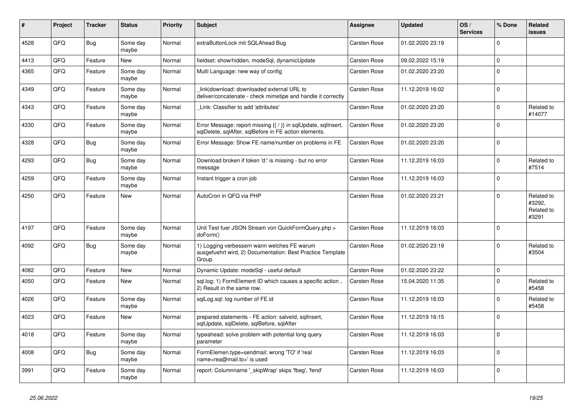| ∦    | Project | <b>Tracker</b> | <b>Status</b>     | <b>Priority</b> | <b>Subject</b>                                                                                                          | <b>Assignee</b>     | <b>Updated</b>   | OS/<br><b>Services</b> | % Done      | Related<br><b>issues</b>                    |
|------|---------|----------------|-------------------|-----------------|-------------------------------------------------------------------------------------------------------------------------|---------------------|------------------|------------------------|-------------|---------------------------------------------|
| 4528 | QFQ     | Bug            | Some day<br>maybe | Normal          | extraButtonLock mit SQLAhead Bug                                                                                        | Carsten Rose        | 01.02.2020 23:19 |                        | $\Omega$    |                                             |
| 4413 | QFQ     | Feature        | New               | Normal          | fieldset: show/hidden, modeSql, dynamicUpdate                                                                           | Carsten Rose        | 09.02.2022 15:19 |                        | $\mathbf 0$ |                                             |
| 4365 | QFQ     | Feature        | Some day<br>maybe | Normal          | Multi Language: new way of config                                                                                       | Carsten Rose        | 01.02.2020 23:20 |                        | $\mathbf 0$ |                                             |
| 4349 | QFQ     | Feature        | Some day<br>maybe | Normal          | link download: downloaded external URL to<br>deliver/concatenate - check mimetipe and handle it correctly               | Carsten Rose        | 11.12.2019 16:02 |                        | $\mathbf 0$ |                                             |
| 4343 | QFQ     | Feature        | Some day<br>maybe | Normal          | Link: Classifier to add 'attributes'                                                                                    | Carsten Rose        | 01.02.2020 23:20 |                        | $\mathbf 0$ | Related to<br>#14077                        |
| 4330 | QFQ     | Feature        | Some day<br>maybe | Normal          | Error Message: report missing {{ / }} in sqlUpdate, sqlInsert,<br>sqlDelete, sqlAfter, sqlBefore in FE action elements. | Carsten Rose        | 01.02.2020 23:20 |                        | $\Omega$    |                                             |
| 4328 | QFQ     | Bug            | Some day<br>maybe | Normal          | Error Message: Show FE name/number on problems in FE                                                                    | Carsten Rose        | 01.02.2020 23:20 |                        | $\mathbf 0$ |                                             |
| 4293 | QFQ     | Bug            | Some day<br>maybe | Normal          | Download broken if token 'd:' is missing - but no error<br>message                                                      | <b>Carsten Rose</b> | 11.12.2019 16:03 |                        | $\Omega$    | Related to<br>#7514                         |
| 4259 | QFQ     | Feature        | Some day<br>maybe | Normal          | Instant trigger a cron job                                                                                              | Carsten Rose        | 11.12.2019 16:03 |                        | $\mathbf 0$ |                                             |
| 4250 | QFQ     | Feature        | <b>New</b>        | Normal          | AutoCron in QFQ via PHP                                                                                                 | <b>Carsten Rose</b> | 01.02.2020 23:21 |                        | $\Omega$    | Related to<br>#3292,<br>Related to<br>#3291 |
| 4197 | QFQ     | Feature        | Some day<br>maybe | Normal          | Unit Test fuer JSON Stream von QuickFormQuery.php ><br>doForm()                                                         | Carsten Rose        | 11.12.2019 16:03 |                        | $\Omega$    |                                             |
| 4092 | QFQ     | Bug            | Some day<br>maybe | Normal          | 1) Logging verbessern wann welches FE warum<br>ausgefuehrt wird, 2) Documentation: Best Practice Template<br>Group      | Carsten Rose        | 01.02.2020 23:19 |                        | $\Omega$    | Related to<br>#3504                         |
| 4082 | QFQ     | Feature        | <b>New</b>        | Normal          | Dynamic Update: modeSgl - useful default                                                                                | <b>Carsten Rose</b> | 01.02.2020 23:22 |                        | $\mathbf 0$ |                                             |
| 4050 | QFQ     | Feature        | <b>New</b>        | Normal          | sql.log: 1) FormElement ID which causes a specific action,<br>2) Result in the same row.                                | Carsten Rose        | 15.04.2020 11:35 |                        | $\mathbf 0$ | Related to<br>#5458                         |
| 4026 | QFQ     | Feature        | Some day<br>maybe | Normal          | sqlLog.sql: log number of FE.id                                                                                         | Carsten Rose        | 11.12.2019 16:03 |                        | $\Omega$    | Related to<br>#5458                         |
| 4023 | QFQ     | Feature        | New               | Normal          | prepared statements - FE action: salveld, sqllnsert,<br>sqlUpdate, sqlDelete, sqlBefore, sqlAfter                       | <b>Carsten Rose</b> | 11.12.2019 16:15 |                        | $\mathbf 0$ |                                             |
| 4018 | QFQ     | Feature        | Some day<br>maybe | Normal          | typeahead: solve problem with potential long query<br>parameter                                                         | <b>Carsten Rose</b> | 11.12.2019 16:03 |                        | $\Omega$    |                                             |
| 4008 | QFQ     | <b>Bug</b>     | Some day<br>maybe | Normal          | FormElemen.type=sendmail: wrong 'TO' if 'real<br>name <rea@mail.to>' is used</rea@mail.to>                              | Carsten Rose        | 11.12.2019 16:03 |                        | $\mathbf 0$ |                                             |
| 3991 | QFQ     | Feature        | Some day<br>maybe | Normal          | report: Columnname '_skipWrap' skips 'fbeg', 'fend'                                                                     | Carsten Rose        | 11.12.2019 16:03 |                        | $\Omega$    |                                             |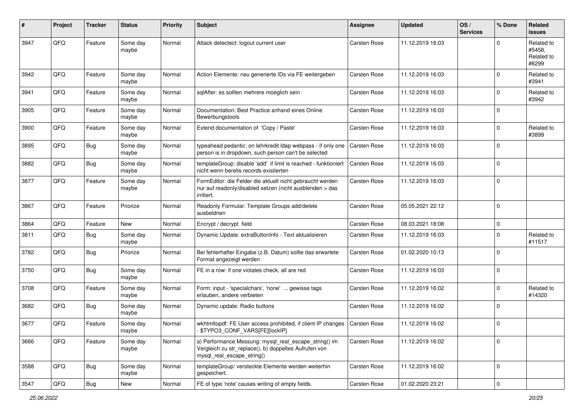| $\pmb{\#}$ | Project | <b>Tracker</b> | <b>Status</b>     | <b>Priority</b> | <b>Subject</b>                                                                                                                               | Assignee            | <b>Updated</b>   | OS/<br><b>Services</b> | % Done      | Related<br>issues                           |
|------------|---------|----------------|-------------------|-----------------|----------------------------------------------------------------------------------------------------------------------------------------------|---------------------|------------------|------------------------|-------------|---------------------------------------------|
| 3947       | QFQ     | Feature        | Some day<br>maybe | Normal          | Attack detectect: logout current user                                                                                                        | <b>Carsten Rose</b> | 11.12.2019 16:03 |                        | $\Omega$    | Related to<br>#5458.<br>Related to<br>#6299 |
| 3942       | QFQ     | Feature        | Some day<br>maybe | Normal          | Action Elemente: neu generierte IDs via FE weitergeben                                                                                       | Carsten Rose        | 11.12.2019 16:03 |                        | $\Omega$    | Related to<br>#3941                         |
| 3941       | QFQ     | Feature        | Some day<br>maybe | Normal          | sqlAfter: es sollten mehrere moeglich sein                                                                                                   | Carsten Rose        | 11.12.2019 16:03 |                        | $\mathbf 0$ | Related to<br>#3942                         |
| 3905       | QFQ     | Feature        | Some day<br>maybe | Normal          | Documentation: Best Practice anhand eines Online<br>Bewerbungstools                                                                          | <b>Carsten Rose</b> | 11.12.2019 16:03 |                        | $\mathbf 0$ |                                             |
| 3900       | QFQ     | Feature        | Some day<br>maybe | Normal          | Extend documentation of 'Copy / Paste'                                                                                                       | <b>Carsten Rose</b> | 11.12.2019 16:03 |                        | $\mathbf 0$ | Related to<br>#3899                         |
| 3895       | QFQ     | Bug            | Some day<br>maybe | Normal          | typeahead pedantic: on lehrkredit Idap webpass - if only one<br>person is in dropdown, such person can't be selected                         | <b>Carsten Rose</b> | 11.12.2019 16:03 |                        | $\mathbf 0$ |                                             |
| 3882       | QFQ     | <b>Bug</b>     | Some day<br>maybe | Normal          | templateGroup: disable 'add' if limit is reached - funktioniert<br>nicht wenn bereits records existierten                                    | Carsten Rose        | 11.12.2019 16:03 |                        | $\mathbf 0$ |                                             |
| 3877       | QFQ     | Feature        | Some day<br>maybe | Normal          | FormEditor: die Felder die aktuell nicht gebraucht werden<br>nur auf readonly/disabled setzen (nicht ausblenden > das<br>irritiert.          | <b>Carsten Rose</b> | 11.12.2019 16:03 |                        | $\Omega$    |                                             |
| 3867       | QFQ     | Feature        | Priorize          | Normal          | Readonly Formular: Template Groups add/delete<br>ausbeldnen                                                                                  | <b>Carsten Rose</b> | 05.05.2021 22:12 |                        | $\Omega$    |                                             |
| 3864       | QFQ     | Feature        | New               | Normal          | Encrypt / decrypt field                                                                                                                      | <b>Carsten Rose</b> | 08.03.2021 18:08 |                        | $\mathbf 0$ |                                             |
| 3811       | QFQ     | Bug            | Some day<br>maybe | Normal          | Dynamic Update: extraButtonInfo - Text aktualisieren                                                                                         | <b>Carsten Rose</b> | 11.12.2019 16:03 |                        | $\mathbf 0$ | Related to<br>#11517                        |
| 3782       | QFQ     | Bug            | Priorize          | Normal          | Bei fehlerhafter Eingabe (z.B. Datum) sollte das erwartete<br>Format angezeigt werden                                                        | <b>Carsten Rose</b> | 01.02.2020 10:13 |                        | $\mathbf 0$ |                                             |
| 3750       | QFQ     | <b>Bug</b>     | Some day<br>maybe | Normal          | FE in a row: if one violates check, all are red                                                                                              | <b>Carsten Rose</b> | 11.12.2019 16:03 |                        | $\mathbf 0$ |                                             |
| 3708       | QFQ     | Feature        | Some day<br>maybe | Normal          | Form: input - 'specialchars', 'none'  gewisse tags<br>erlauben, andere verbieten                                                             | <b>Carsten Rose</b> | 11.12.2019 16:02 |                        | $\mathbf 0$ | Related to<br>#14320                        |
| 3682       | QFQ     | Bug            | Some day<br>maybe | Normal          | Dynamic update: Radio buttons                                                                                                                | Carsten Rose        | 11.12.2019 16:02 |                        | $\Omega$    |                                             |
| 3677       | QFQ     | Feature        | Some day<br>maybe | Normal          | wkhtmitopdf: FE User access prohibited, if client IP changes   Carsten Rose<br>\$TYPO3_CONF_VARS[FE][lockIP]                                 |                     | 11.12.2019 16:02 |                        | $\mathbf 0$ |                                             |
| 3666       | QFQ     | Feature        | Some day<br>maybe | Normal          | a) Performance Messung: mysql_real_escape_string() im<br>Vergleich zu str_replace(), b) doppeltes Aufrufen von<br>mysql_real_escape_string() | Carsten Rose        | 11.12.2019 16:02 |                        | $\mathbf 0$ |                                             |
| 3588       | QFQ     | Bug            | Some day<br>maybe | Normal          | templateGroup: versteckte Elemente werden weiterhin<br>gespeichert.                                                                          | Carsten Rose        | 11.12.2019 16:02 |                        | $\mathbf 0$ |                                             |
| 3547       | QFQ     | Bug            | New               | Normal          | FE of type 'note' causes writing of empty fields.                                                                                            | Carsten Rose        | 01.02.2020 23:21 |                        | $\mathsf 0$ |                                             |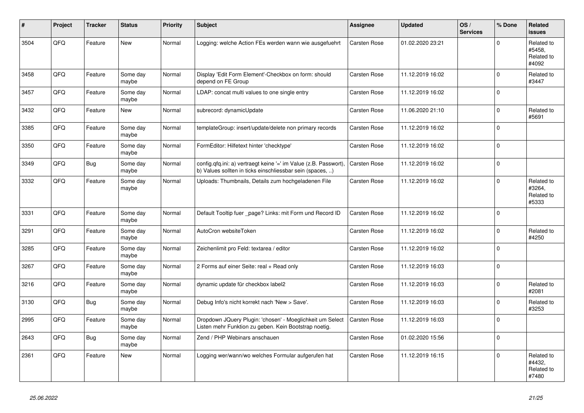| $\vert$ # | Project    | <b>Tracker</b> | <b>Status</b>     | <b>Priority</b> | <b>Subject</b>                                                                                                                | <b>Assignee</b>     | <b>Updated</b>   | OS/<br><b>Services</b> | % Done      | Related<br><b>issues</b>                    |
|-----------|------------|----------------|-------------------|-----------------|-------------------------------------------------------------------------------------------------------------------------------|---------------------|------------------|------------------------|-------------|---------------------------------------------|
| 3504      | QFQ        | Feature        | <b>New</b>        | Normal          | Logging: welche Action FEs werden wann wie ausgefuehrt                                                                        | Carsten Rose        | 01.02.2020 23:21 |                        | $\Omega$    | Related to<br>#5458,<br>Related to<br>#4092 |
| 3458      | QFQ        | Feature        | Some day<br>maybe | Normal          | Display 'Edit Form Element'-Checkbox on form: should<br>depend on FE Group                                                    | <b>Carsten Rose</b> | 11.12.2019 16:02 |                        | $\Omega$    | Related to<br>#3447                         |
| 3457      | QFQ        | Feature        | Some day<br>maybe | Normal          | LDAP: concat multi values to one single entry                                                                                 | Carsten Rose        | 11.12.2019 16:02 |                        | $\mathbf 0$ |                                             |
| 3432      | QFQ        | Feature        | <b>New</b>        | Normal          | subrecord: dynamicUpdate                                                                                                      | Carsten Rose        | 11.06.2020 21:10 |                        | $\Omega$    | Related to<br>#5691                         |
| 3385      | QFQ        | Feature        | Some day<br>maybe | Normal          | templateGroup: insert/update/delete non primary records                                                                       | Carsten Rose        | 11.12.2019 16:02 |                        | $\Omega$    |                                             |
| 3350      | <b>OFO</b> | Feature        | Some day<br>maybe | Normal          | FormEditor: Hilfetext hinter 'checktype'                                                                                      | Carsten Rose        | 11.12.2019 16:02 |                        | $\Omega$    |                                             |
| 3349      | QFQ        | Bug            | Some day<br>maybe | Normal          | config.qfq.ini: a) vertraegt keine '=' im Value (z.B. Passwort),<br>b) Values sollten in ticks einschliessbar sein (spaces, ) | Carsten Rose        | 11.12.2019 16:02 |                        | $\Omega$    |                                             |
| 3332      | QFQ        | Feature        | Some day<br>maybe | Normal          | Uploads: Thumbnails, Details zum hochgeladenen File                                                                           | Carsten Rose        | 11.12.2019 16:02 |                        | $\Omega$    | Related to<br>#3264,<br>Related to<br>#5333 |
| 3331      | QFQ        | Feature        | Some day<br>maybe | Normal          | Default Tooltip fuer _page? Links: mit Form und Record ID                                                                     | Carsten Rose        | 11.12.2019 16:02 |                        | $\Omega$    |                                             |
| 3291      | QFQ        | Feature        | Some day<br>maybe | Normal          | AutoCron websiteToken                                                                                                         | Carsten Rose        | 11.12.2019 16:02 |                        | $\Omega$    | Related to<br>#4250                         |
| 3285      | QFQ        | Feature        | Some day<br>maybe | Normal          | Zeichenlimit pro Feld: textarea / editor                                                                                      | Carsten Rose        | 11.12.2019 16:02 |                        | $\Omega$    |                                             |
| 3267      | QFQ        | Feature        | Some day<br>maybe | Normal          | 2 Forms auf einer Seite: real + Read only                                                                                     | Carsten Rose        | 11.12.2019 16:03 |                        | 0           |                                             |
| 3216      | QFQ        | Feature        | Some day<br>maybe | Normal          | dynamic update für checkbox label2                                                                                            | Carsten Rose        | 11.12.2019 16:03 |                        | $\Omega$    | Related to<br>#2081                         |
| 3130      | QFQ        | Bug            | Some day<br>maybe | Normal          | Debug Info's nicht korrekt nach 'New > Save'.                                                                                 | Carsten Rose        | 11.12.2019 16:03 |                        | $\Omega$    | Related to<br>#3253                         |
| 2995      | QFQ        | Feature        | Some day<br>maybe | Normal          | Dropdown JQuery Plugin: 'chosen' - Moeglichkeit um Select<br>Listen mehr Funktion zu geben. Kein Bootstrap noetig.            | Carsten Rose        | 11.12.2019 16:03 |                        | $\mathbf 0$ |                                             |
| 2643      | QFQ        | <b>Bug</b>     | Some day<br>maybe | Normal          | Zend / PHP Webinars anschauen                                                                                                 | Carsten Rose        | 01.02.2020 15:56 |                        | $\Omega$    |                                             |
| 2361      | QFQ        | Feature        | <b>New</b>        | Normal          | Logging wer/wann/wo welches Formular aufgerufen hat                                                                           | Carsten Rose        | 11.12.2019 16:15 |                        | 0           | Related to<br>#4432,<br>Related to<br>#7480 |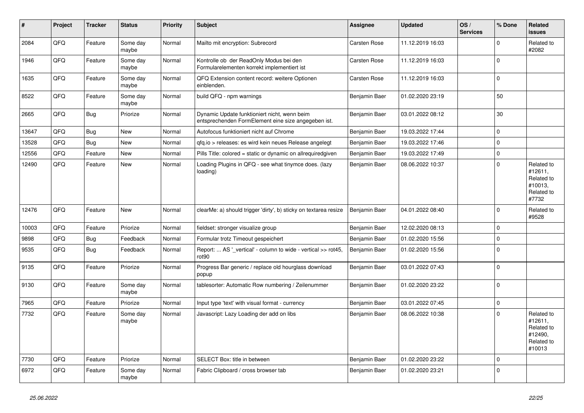| #     | Project | <b>Tracker</b> | <b>Status</b>     | <b>Priority</b> | <b>Subject</b>                                                                                      | <b>Assignee</b> | <b>Updated</b>   | OS/<br><b>Services</b> | % Done      | Related<br><b>issues</b>                                               |
|-------|---------|----------------|-------------------|-----------------|-----------------------------------------------------------------------------------------------------|-----------------|------------------|------------------------|-------------|------------------------------------------------------------------------|
| 2084  | QFQ     | Feature        | Some day<br>maybe | Normal          | Mailto mit encryption: Subrecord                                                                    | Carsten Rose    | 11.12.2019 16:03 |                        | $\Omega$    | Related to<br>#2082                                                    |
| 1946  | QFQ     | Feature        | Some day<br>maybe | Normal          | Kontrolle ob der ReadOnly Modus bei den<br>Formularelementen korrekt implementiert ist              | Carsten Rose    | 11.12.2019 16:03 |                        | $\mathbf 0$ |                                                                        |
| 1635  | QFQ     | Feature        | Some day<br>maybe | Normal          | QFQ Extension content record: weitere Optionen<br>einblenden.                                       | Carsten Rose    | 11.12.2019 16:03 |                        | $\Omega$    |                                                                        |
| 8522  | QFQ     | Feature        | Some day<br>maybe | Normal          | build QFQ - npm warnings                                                                            | Benjamin Baer   | 01.02.2020 23:19 |                        | 50          |                                                                        |
| 2665  | QFQ     | Bug            | Priorize          | Normal          | Dynamic Update funktioniert nicht, wenn beim<br>entsprechenden FormElement eine size angegeben ist. | Benjamin Baer   | 03.01.2022 08:12 |                        | 30          |                                                                        |
| 13647 | QFQ     | <b>Bug</b>     | New               | Normal          | Autofocus funktioniert nicht auf Chrome                                                             | Benjamin Baer   | 19.03.2022 17:44 |                        | $\Omega$    |                                                                        |
| 13528 | QFQ     | Bug            | New               | Normal          | gfg.io > releases: es wird kein neues Release angelegt                                              | Benjamin Baer   | 19.03.2022 17:46 |                        | 0           |                                                                        |
| 12556 | QFQ     | Feature        | <b>New</b>        | Normal          | Pills Title: colored = static or dynamic on allrequiredgiven                                        | Benjamin Baer   | 19.03.2022 17:49 |                        | $\Omega$    |                                                                        |
| 12490 | QFQ     | Feature        | New               | Normal          | Loading Plugins in QFQ - see what tinymce does. (lazy<br>loading)                                   | Benjamin Baer   | 08.06.2022 10:37 |                        | $\Omega$    | Related to<br>#12611,<br>Related to<br>#10013,<br>Related to<br>#7732  |
| 12476 | QFQ     | Feature        | <b>New</b>        | Normal          | clearMe: a) should trigger 'dirty', b) sticky on textarea resize                                    | Benjamin Baer   | 04.01.2022 08:40 |                        | $\Omega$    | Related to<br>#9528                                                    |
| 10003 | QFQ     | Feature        | Priorize          | Normal          | fieldset: stronger visualize group                                                                  | Benjamin Baer   | 12.02.2020 08:13 |                        | $\Omega$    |                                                                        |
| 9898  | QFQ     | <b>Bug</b>     | Feedback          | Normal          | Formular trotz Timeout gespeichert                                                                  | Benjamin Baer   | 01.02.2020 15:56 |                        | $\Omega$    |                                                                        |
| 9535  | QFQ     | Bug            | Feedback          | Normal          | Report:  AS '_vertical' - column to wide - vertical >> rot45,<br>rot <sub>90</sub>                  | Benjamin Baer   | 01.02.2020 15:56 |                        | $\Omega$    |                                                                        |
| 9135  | QFQ     | Feature        | Priorize          | Normal          | Progress Bar generic / replace old hourglass download<br>popup                                      | Benjamin Baer   | 03.01.2022 07:43 |                        | $\Omega$    |                                                                        |
| 9130  | QFQ     | Feature        | Some day<br>maybe | Normal          | tablesorter: Automatic Row numbering / Zeilenummer                                                  | Benjamin Baer   | 01.02.2020 23:22 |                        | $\Omega$    |                                                                        |
| 7965  | QFQ     | Feature        | Priorize          | Normal          | Input type 'text' with visual format - currency                                                     | Benjamin Baer   | 03.01.2022 07:45 |                        | 0           |                                                                        |
| 7732  | QFQ     | Feature        | Some day<br>maybe | Normal          | Javascript: Lazy Loading der add on libs                                                            | Benjamin Baer   | 08.06.2022 10:38 |                        | $\Omega$    | Related to<br>#12611,<br>Related to<br>#12490,<br>Related to<br>#10013 |
| 7730  | QFQ     | Feature        | Priorize          | Normal          | SELECT Box: title in between                                                                        | Benjamin Baer   | 01.02.2020 23:22 |                        | $\Omega$    |                                                                        |
| 6972  | QFQ     | Feature        | Some day<br>maybe | Normal          | Fabric Clipboard / cross browser tab                                                                | Benjamin Baer   | 01.02.2020 23:21 |                        | $\Omega$    |                                                                        |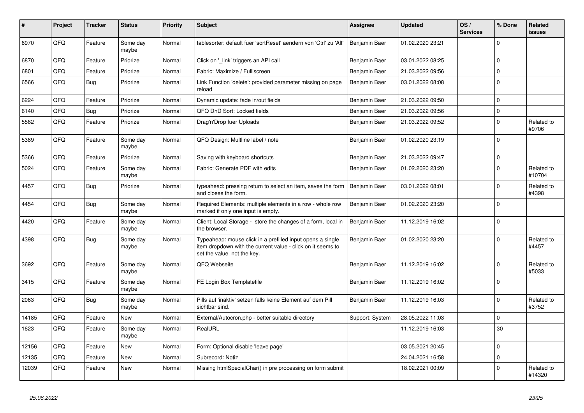| #     | Project | <b>Tracker</b> | <b>Status</b>     | <b>Priority</b> | <b>Subject</b>                                                                                                                                           | <b>Assignee</b> | <b>Updated</b>   | OS/<br><b>Services</b> | % Done      | Related<br><b>issues</b> |
|-------|---------|----------------|-------------------|-----------------|----------------------------------------------------------------------------------------------------------------------------------------------------------|-----------------|------------------|------------------------|-------------|--------------------------|
| 6970  | QFQ     | Feature        | Some day<br>maybe | Normal          | tablesorter: default fuer 'sortReset' aendern von 'Ctrl' zu 'Alt'                                                                                        | Benjamin Baer   | 01.02.2020 23:21 |                        | $\Omega$    |                          |
| 6870  | QFQ     | Feature        | Priorize          | Normal          | Click on '_link' triggers an API call                                                                                                                    | Benjamin Baer   | 03.01.2022 08:25 |                        | $\mathbf 0$ |                          |
| 6801  | QFQ     | Feature        | Priorize          | Normal          | Fabric: Maximize / Fulllscreen                                                                                                                           | Benjamin Baer   | 21.03.2022 09:56 |                        | $\mathbf 0$ |                          |
| 6566  | QFQ     | <b>Bug</b>     | Priorize          | Normal          | Link Function 'delete': provided parameter missing on page<br>reload                                                                                     | Benjamin Baer   | 03.01.2022 08:08 |                        | $\mathbf 0$ |                          |
| 6224  | QFQ     | Feature        | Priorize          | Normal          | Dynamic update: fade in/out fields                                                                                                                       | Benjamin Baer   | 21.03.2022 09:50 |                        | $\pmb{0}$   |                          |
| 6140  | QFQ     | Bug            | Priorize          | Normal          | QFQ DnD Sort: Locked fields                                                                                                                              | Benjamin Baer   | 21.03.2022 09:56 |                        | $\mathbf 0$ |                          |
| 5562  | QFQ     | Feature        | Priorize          | Normal          | Drag'n'Drop fuer Uploads                                                                                                                                 | Benjamin Baer   | 21.03.2022 09:52 |                        | $\mathbf 0$ | Related to<br>#9706      |
| 5389  | QFQ     | Feature        | Some day<br>maybe | Normal          | QFQ Design: Multline label / note                                                                                                                        | Benjamin Baer   | 01.02.2020 23:19 |                        | $\mathbf 0$ |                          |
| 5366  | QFQ     | Feature        | Priorize          | Normal          | Saving with keyboard shortcuts                                                                                                                           | Benjamin Baer   | 21.03.2022 09:47 |                        | $\mathbf 0$ |                          |
| 5024  | QFQ     | Feature        | Some day<br>maybe | Normal          | Fabric: Generate PDF with edits                                                                                                                          | Benjamin Baer   | 01.02.2020 23:20 |                        | $\mathbf 0$ | Related to<br>#10704     |
| 4457  | QFQ     | <b>Bug</b>     | Priorize          | Normal          | typeahead: pressing return to select an item, saves the form<br>and closes the form.                                                                     | Benjamin Baer   | 03.01.2022 08:01 |                        | $\mathbf 0$ | Related to<br>#4398      |
| 4454  | QFQ     | Bug            | Some day<br>maybe | Normal          | Required Elements: multiple elements in a row - whole row<br>marked if only one input is empty.                                                          | Benjamin Baer   | 01.02.2020 23:20 |                        | $\Omega$    |                          |
| 4420  | QFQ     | Feature        | Some day<br>maybe | Normal          | Client: Local Storage - store the changes of a form, local in<br>the browser.                                                                            | Benjamin Baer   | 11.12.2019 16:02 |                        | $\mathbf 0$ |                          |
| 4398  | QFQ     | <b>Bug</b>     | Some day<br>maybe | Normal          | Typeahead: mouse click in a prefilled input opens a single<br>item dropdown with the current value - click on it seems to<br>set the value, not the key. | Benjamin Baer   | 01.02.2020 23:20 |                        | $\mathbf 0$ | Related to<br>#4457      |
| 3692  | QFQ     | Feature        | Some day<br>maybe | Normal          | QFQ Webseite                                                                                                                                             | Benjamin Baer   | 11.12.2019 16:02 |                        | $\mathbf 0$ | Related to<br>#5033      |
| 3415  | QFQ     | Feature        | Some day<br>maybe | Normal          | FE Login Box Templatefile                                                                                                                                | Benjamin Baer   | 11.12.2019 16:02 |                        | $\mathbf 0$ |                          |
| 2063  | QFQ     | Bug            | Some day<br>maybe | Normal          | Pills auf 'inaktiv' setzen falls keine Element auf dem Pill<br>sichtbar sind.                                                                            | Benjamin Baer   | 11.12.2019 16:03 |                        | $\mathbf 0$ | Related to<br>#3752      |
| 14185 | QFQ     | Feature        | <b>New</b>        | Normal          | External/Autocron.php - better suitable directory                                                                                                        | Support: System | 28.05.2022 11:03 |                        | $\Omega$    |                          |
| 1623  | QFQ     | Feature        | Some day<br>maybe | Normal          | RealURL                                                                                                                                                  |                 | 11.12.2019 16:03 |                        | 30          |                          |
| 12156 | QFQ     | Feature        | New               | Normal          | Form: Optional disable 'leave page'                                                                                                                      |                 | 03.05.2021 20:45 |                        | $\mathbf 0$ |                          |
| 12135 | QFQ     | Feature        | <b>New</b>        | Normal          | Subrecord: Notiz                                                                                                                                         |                 | 24.04.2021 16:58 |                        | $\pmb{0}$   |                          |
| 12039 | QFQ     | Feature        | <b>New</b>        | Normal          | Missing htmlSpecialChar() in pre processing on form submit                                                                                               |                 | 18.02.2021 00:09 |                        | $\Omega$    | Related to<br>#14320     |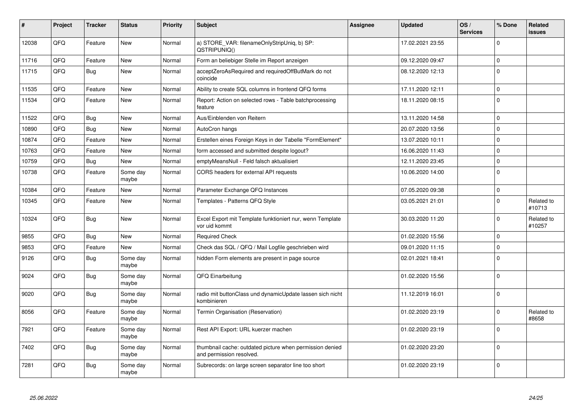| #     | Project | <b>Tracker</b> | <b>Status</b>     | <b>Priority</b> | <b>Subject</b>                                                                       | <b>Assignee</b> | <b>Updated</b>   | OS/<br><b>Services</b> | % Done      | Related<br><b>issues</b> |
|-------|---------|----------------|-------------------|-----------------|--------------------------------------------------------------------------------------|-----------------|------------------|------------------------|-------------|--------------------------|
| 12038 | QFQ     | Feature        | New               | Normal          | a) STORE_VAR: filenameOnlyStripUniq, b) SP:<br>QSTRIPUNIQ()                          |                 | 17.02.2021 23:55 |                        | $\Omega$    |                          |
| 11716 | QFQ     | Feature        | <b>New</b>        | Normal          | Form an beliebiger Stelle im Report anzeigen                                         |                 | 09.12.2020 09:47 |                        | $\mathbf 0$ |                          |
| 11715 | QFQ     | Bug            | <b>New</b>        | Normal          | acceptZeroAsRequired and requiredOffButMark do not<br>coincide                       |                 | 08.12.2020 12:13 |                        | $\Omega$    |                          |
| 11535 | QFQ     | Feature        | <b>New</b>        | Normal          | Ability to create SQL columns in frontend QFQ forms                                  |                 | 17.11.2020 12:11 |                        | $\mathbf 0$ |                          |
| 11534 | QFQ     | Feature        | New               | Normal          | Report: Action on selected rows - Table batchprocessing<br>feature                   |                 | 18.11.2020 08:15 |                        | $\Omega$    |                          |
| 11522 | QFQ     | <b>Bug</b>     | New               | Normal          | Aus/Einblenden von Reitern                                                           |                 | 13.11.2020 14:58 |                        | $\Omega$    |                          |
| 10890 | QFQ     | Bug            | <b>New</b>        | Normal          | AutoCron hangs                                                                       |                 | 20.07.2020 13:56 |                        | $\mathbf 0$ |                          |
| 10874 | QFQ     | Feature        | <b>New</b>        | Normal          | Erstellen eines Foreign Keys in der Tabelle "FormElement"                            |                 | 13.07.2020 10:11 |                        | $\mathbf 0$ |                          |
| 10763 | QFQ     | Feature        | New               | Normal          | form accessed and submitted despite logout?                                          |                 | 16.06.2020 11:43 |                        | $\mathbf 0$ |                          |
| 10759 | QFQ     | <b>Bug</b>     | New               | Normal          | emptyMeansNull - Feld falsch aktualisiert                                            |                 | 12.11.2020 23:45 |                        | $\pmb{0}$   |                          |
| 10738 | QFQ     | Feature        | Some day<br>maybe | Normal          | CORS headers for external API requests                                               |                 | 10.06.2020 14:00 |                        | $\mathbf 0$ |                          |
| 10384 | QFQ     | Feature        | <b>New</b>        | Normal          | Parameter Exchange QFQ Instances                                                     |                 | 07.05.2020 09:38 |                        | $\pmb{0}$   |                          |
| 10345 | QFQ     | Feature        | New               | Normal          | Templates - Patterns QFQ Style                                                       |                 | 03.05.2021 21:01 |                        | $\Omega$    | Related to<br>#10713     |
| 10324 | QFQ     | <b>Bug</b>     | <b>New</b>        | Normal          | Excel Export mit Template funktioniert nur, wenn Template<br>vor uid kommt           |                 | 30.03.2020 11:20 |                        | $\Omega$    | Related to<br>#10257     |
| 9855  | QFQ     | <b>Bug</b>     | <b>New</b>        | Normal          | <b>Required Check</b>                                                                |                 | 01.02.2020 15:56 |                        | $\mathbf 0$ |                          |
| 9853  | QFQ     | Feature        | <b>New</b>        | Normal          | Check das SQL / QFQ / Mail Logfile geschrieben wird                                  |                 | 09.01.2020 11:15 |                        | $\mathbf 0$ |                          |
| 9126  | QFQ     | <b>Bug</b>     | Some day<br>maybe | Normal          | hidden Form elements are present in page source                                      |                 | 02.01.2021 18:41 |                        | $\mathbf 0$ |                          |
| 9024  | QFQ     | <b>Bug</b>     | Some day<br>maybe | Normal          | QFQ Einarbeitung                                                                     |                 | 01.02.2020 15:56 |                        | $\mathbf 0$ |                          |
| 9020  | QFQ     | Bug            | Some dav<br>maybe | Normal          | radio mit buttonClass und dynamicUpdate lassen sich nicht<br>kombinieren             |                 | 11.12.2019 16:01 |                        | $\mathbf 0$ |                          |
| 8056  | QFQ     | Feature        | Some day<br>maybe | Normal          | Termin Organisation (Reservation)                                                    |                 | 01.02.2020 23:19 |                        | $\Omega$    | Related to<br>#8658      |
| 7921  | QFQ     | Feature        | Some day<br>maybe | Normal          | Rest API Export: URL kuerzer machen                                                  |                 | 01.02.2020 23:19 |                        | $\Omega$    |                          |
| 7402  | QFQ     | <b>Bug</b>     | Some day<br>maybe | Normal          | thumbnail cache: outdated picture when permission denied<br>and permission resolved. |                 | 01.02.2020 23:20 |                        | $\mathbf 0$ |                          |
| 7281  | QFQ     | <b>Bug</b>     | Some day<br>maybe | Normal          | Subrecords: on large screen separator line too short                                 |                 | 01.02.2020 23:19 |                        | $\Omega$    |                          |